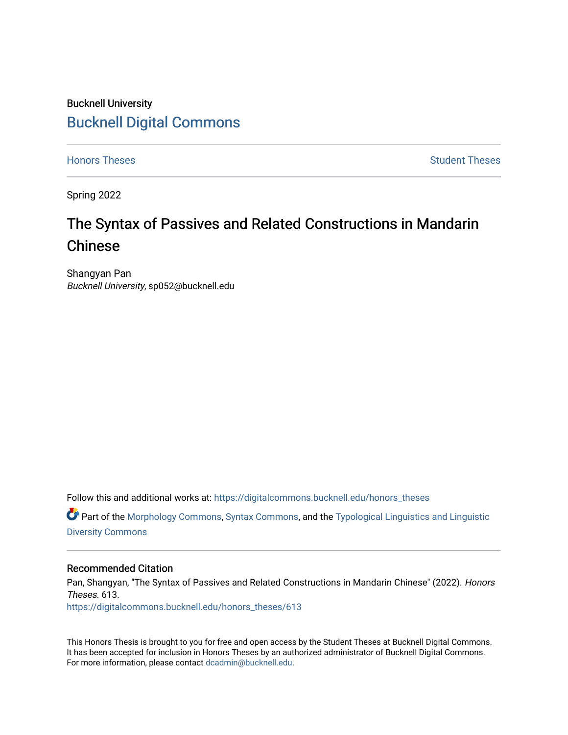## Bucknell University [Bucknell Digital Commons](https://digitalcommons.bucknell.edu/)

[Honors Theses](https://digitalcommons.bucknell.edu/honors_theses) **Student Theses** [Student Theses](https://digitalcommons.bucknell.edu/student_theses) Student Theses Student Theses

Spring 2022

# The Syntax of Passives and Related Constructions in Mandarin Chinese

Shangyan Pan Bucknell University, sp052@bucknell.edu

Follow this and additional works at: [https://digitalcommons.bucknell.edu/honors\\_theses](https://digitalcommons.bucknell.edu/honors_theses?utm_source=digitalcommons.bucknell.edu%2Fhonors_theses%2F613&utm_medium=PDF&utm_campaign=PDFCoverPages)

 $\bullet$  Part of the [Morphology Commons,](http://network.bepress.com/hgg/discipline/380?utm_source=digitalcommons.bucknell.edu%2Fhonors_theses%2F613&utm_medium=PDF&utm_campaign=PDFCoverPages) [Syntax Commons,](http://network.bepress.com/hgg/discipline/384?utm_source=digitalcommons.bucknell.edu%2Fhonors_theses%2F613&utm_medium=PDF&utm_campaign=PDFCoverPages) and the Typological Linguistics and Linguistic [Diversity Commons](http://network.bepress.com/hgg/discipline/378?utm_source=digitalcommons.bucknell.edu%2Fhonors_theses%2F613&utm_medium=PDF&utm_campaign=PDFCoverPages) 

## Recommended Citation

Pan, Shangyan, "The Syntax of Passives and Related Constructions in Mandarin Chinese" (2022). Honors Theses. 613. [https://digitalcommons.bucknell.edu/honors\\_theses/613](https://digitalcommons.bucknell.edu/honors_theses/613?utm_source=digitalcommons.bucknell.edu%2Fhonors_theses%2F613&utm_medium=PDF&utm_campaign=PDFCoverPages) 

This Honors Thesis is brought to you for free and open access by the Student Theses at Bucknell Digital Commons. It has been accepted for inclusion in Honors Theses by an authorized administrator of Bucknell Digital Commons. For more information, please contact [dcadmin@bucknell.edu](mailto:dcadmin@bucknell.edu).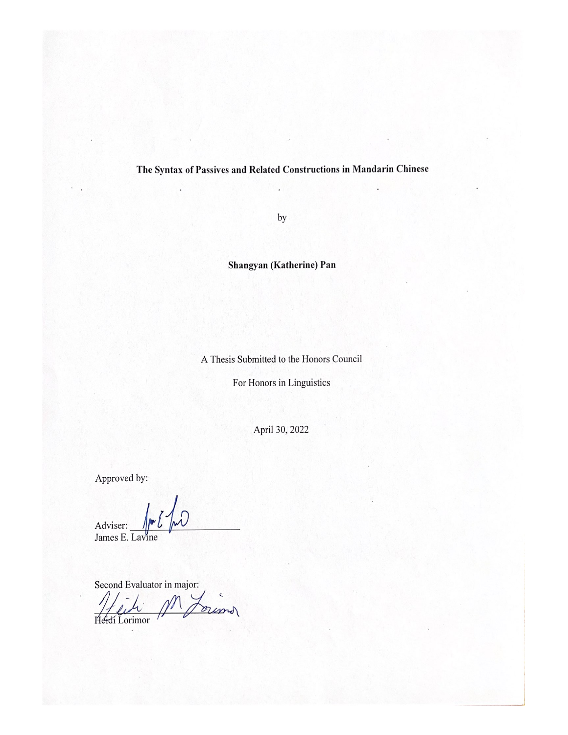## The Syntax of Passives and Related Constructions in Mandarin Chinese

by

Shangyan (Katherine) Pan

A Thesis Submitted to the Honors Council

For Honors in Linguistics

April 30, 2022

Approved by:

Adviser: James E. Lavine

Second Evaluator in major: oras Heidi Lorimor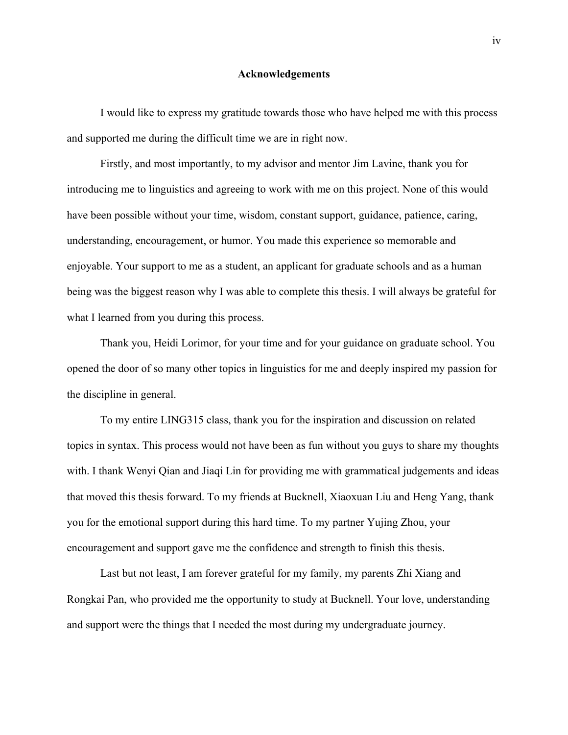## **Acknowledgements**

I would like to express my gratitude towards those who have helped me with this process and supported me during the difficult time we are in right now.

Firstly, and most importantly, to my advisor and mentor Jim Lavine, thank you for introducing me to linguistics and agreeing to work with me on this project. None of this would have been possible without your time, wisdom, constant support, guidance, patience, caring, understanding, encouragement, or humor. You made this experience so memorable and enjoyable. Your support to me as a student, an applicant for graduate schools and as a human being was the biggest reason why I was able to complete this thesis. I will always be grateful for what I learned from you during this process.

Thank you, Heidi Lorimor, for your time and for your guidance on graduate school. You opened the door of so many other topics in linguistics for me and deeply inspired my passion for the discipline in general.

To my entire LING315 class, thank you for the inspiration and discussion on related topics in syntax. This process would not have been as fun without you guys to share my thoughts with. I thank Wenyi Qian and Jiaqi Lin for providing me with grammatical judgements and ideas that moved this thesis forward. To my friends at Bucknell, Xiaoxuan Liu and Heng Yang, thank you for the emotional support during this hard time. To my partner Yujing Zhou, your encouragement and support gave me the confidence and strength to finish this thesis.

Last but not least, I am forever grateful for my family, my parents Zhi Xiang and Rongkai Pan, who provided me the opportunity to study at Bucknell. Your love, understanding and support were the things that I needed the most during my undergraduate journey.

iv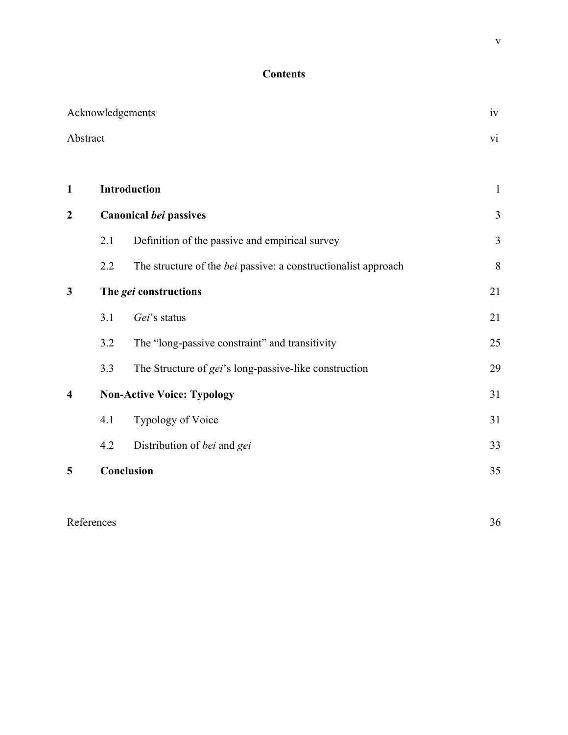## **Contents**

|                         | Acknowledgements |                                                                       | iv                      |
|-------------------------|------------------|-----------------------------------------------------------------------|-------------------------|
|                         | Abstract         |                                                                       | $\overline{\mathbf{v}}$ |
|                         |                  |                                                                       |                         |
| $\mathbf{1}$            |                  | Introduction                                                          | $\mathbf{1}$            |
| $\boldsymbol{2}$        |                  | <b>Canonical bei passives</b>                                         | $\overline{\mathbf{3}}$ |
|                         | 2.1              | Definition of the passive and empirical survey                        | 3                       |
|                         | 2.2              | The structure of the <i>bei</i> passive: a constructionalist approach | 8                       |
| $\mathbf{3}$            |                  | The gei constructions                                                 | 21                      |
|                         | 3.1              | Gei's status                                                          | 21                      |
|                         | 3.2              | The "long-passive constraint" and transitivity                        | 25                      |
|                         | 3.3              | The Structure of gei's long-passive-like construction                 | 29                      |
| $\overline{\mathbf{4}}$ |                  | <b>Non-Active Voice: Typology</b>                                     | 31                      |
|                         | 4.1              | Typology of Voice                                                     | 31                      |
|                         | 4.2              | Distribution of bei and gei                                           | 33                      |
| 5                       |                  | Conclusion                                                            | 35                      |
|                         |                  |                                                                       |                         |

## References 36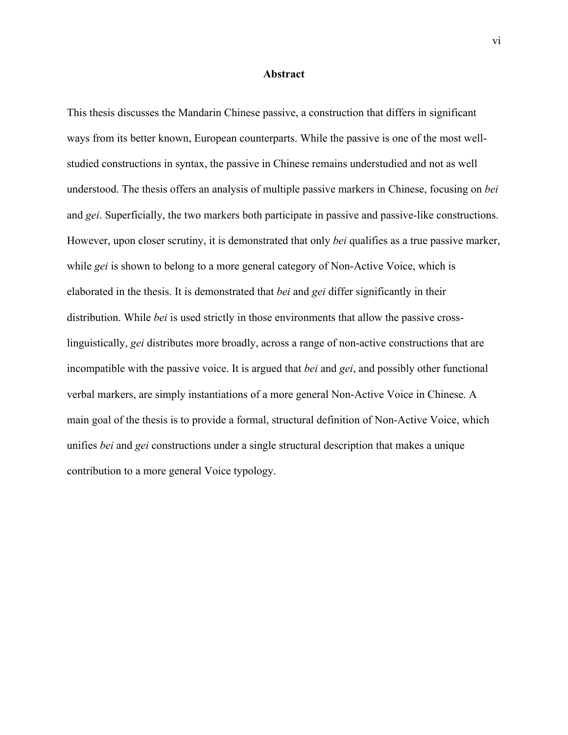## **Abstract**

This thesis discusses the Mandarin Chinese passive, a construction that differs in significant ways from its better known, European counterparts. While the passive is one of the most wellstudied constructions in syntax, the passive in Chinese remains understudied and not as well understood. The thesis offers an analysis of multiple passive markers in Chinese, focusing on *bei* and *gei*. Superficially, the two markers both participate in passive and passive-like constructions. However, upon closer scrutiny, it is demonstrated that only *bei* qualifies as a true passive marker, while *gei* is shown to belong to a more general category of Non-Active Voice, which is elaborated in the thesis. It is demonstrated that *bei* and *gei* differ significantly in their distribution. While *bei* is used strictly in those environments that allow the passive crosslinguistically, *gei* distributes more broadly, across a range of non-active constructions that are incompatible with the passive voice. It is argued that *bei* and *gei*, and possibly other functional verbal markers, are simply instantiations of a more general Non-Active Voice in Chinese. A main goal of the thesis is to provide a formal, structural definition of Non-Active Voice, which unifies *bei* and *gei* constructions under a single structural description that makes a unique contribution to a more general Voice typology.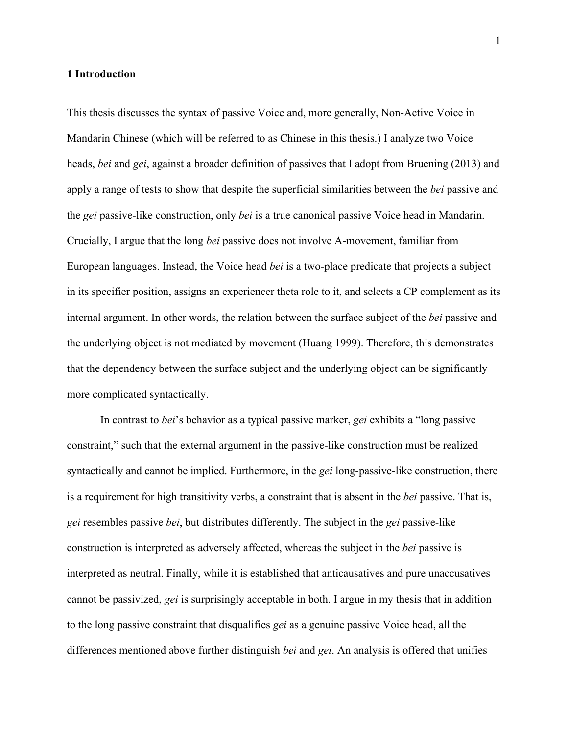## **1 Introduction**

This thesis discusses the syntax of passive Voice and, more generally, Non-Active Voice in Mandarin Chinese (which will be referred to as Chinese in this thesis.) I analyze two Voice heads, *bei* and *gei*, against a broader definition of passives that I adopt from Bruening (2013) and apply a range of tests to show that despite the superficial similarities between the *bei* passive and the *gei* passive-like construction, only *bei* is a true canonical passive Voice head in Mandarin. Crucially, I argue that the long *bei* passive does not involve A-movement, familiar from European languages. Instead, the Voice head *bei* is a two-place predicate that projects a subject in its specifier position, assigns an experiencer theta role to it, and selects a CP complement as its internal argument. In other words, the relation between the surface subject of the *bei* passive and the underlying object is not mediated by movement (Huang 1999). Therefore, this demonstrates that the dependency between the surface subject and the underlying object can be significantly more complicated syntactically.

In contrast to *bei*'s behavior as a typical passive marker, *gei* exhibits a "long passive constraint," such that the external argument in the passive-like construction must be realized syntactically and cannot be implied. Furthermore, in the *gei* long-passive-like construction, there is a requirement for high transitivity verbs, a constraint that is absent in the *bei* passive. That is, *gei* resembles passive *bei*, but distributes differently. The subject in the *gei* passive-like construction is interpreted as adversely affected, whereas the subject in the *bei* passive is interpreted as neutral. Finally, while it is established that anticausatives and pure unaccusatives cannot be passivized, *gei* is surprisingly acceptable in both. I argue in my thesis that in addition to the long passive constraint that disqualifies *gei* as a genuine passive Voice head, all the differences mentioned above further distinguish *bei* and *gei*. An analysis is offered that unifies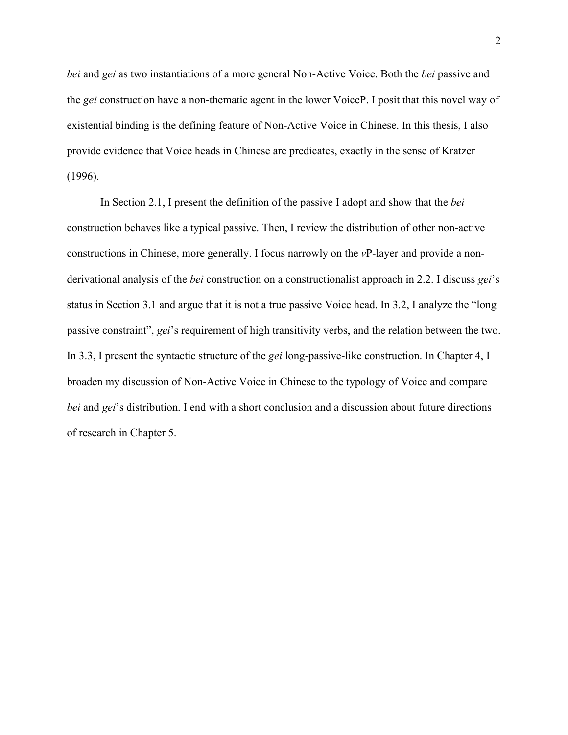*bei* and *gei* as two instantiations of a more general Non-Active Voice. Both the *bei* passive and the *gei* construction have a non-thematic agent in the lower VoiceP. I posit that this novel way of existential binding is the defining feature of Non-Active Voice in Chinese. In this thesis, I also provide evidence that Voice heads in Chinese are predicates, exactly in the sense of Kratzer (1996).

In Section 2.1, I present the definition of the passive I adopt and show that the *bei* construction behaves like a typical passive. Then, I review the distribution of other non-active constructions in Chinese, more generally. I focus narrowly on the *v*P-layer and provide a nonderivational analysis of the *bei* construction on a constructionalist approach in 2.2. I discuss *gei*'s status in Section 3.1 and argue that it is not a true passive Voice head. In 3.2, I analyze the "long passive constraint", *gei*'s requirement of high transitivity verbs, and the relation between the two. In 3.3, I present the syntactic structure of the *gei* long-passive-like construction. In Chapter 4, I broaden my discussion of Non-Active Voice in Chinese to the typology of Voice and compare *bei* and *gei*'s distribution. I end with a short conclusion and a discussion about future directions of research in Chapter 5.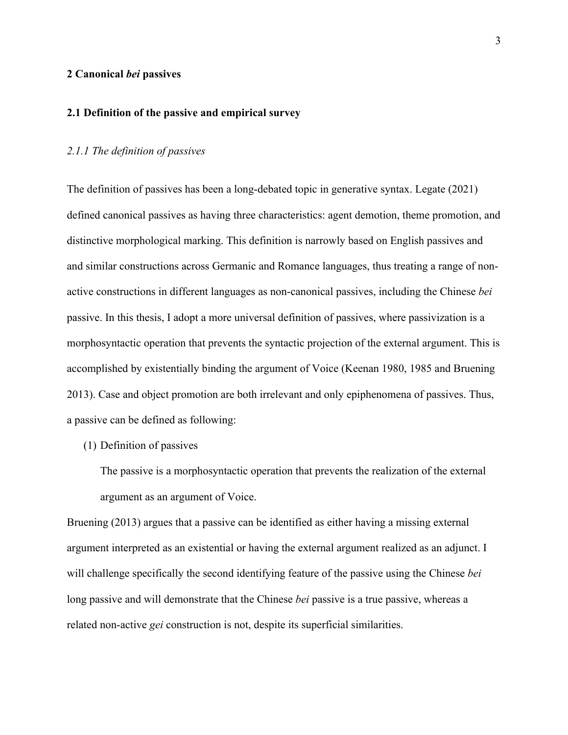## **2 Canonical** *bei* **passives**

## **2.1 Definition of the passive and empirical survey**

## *2.1.1 The definition of passives*

The definition of passives has been a long-debated topic in generative syntax. Legate (2021) defined canonical passives as having three characteristics: agent demotion, theme promotion, and distinctive morphological marking. This definition is narrowly based on English passives and and similar constructions across Germanic and Romance languages, thus treating a range of nonactive constructions in different languages as non-canonical passives, including the Chinese *bei* passive. In this thesis, I adopt a more universal definition of passives, where passivization is a morphosyntactic operation that prevents the syntactic projection of the external argument. This is accomplished by existentially binding the argument of Voice (Keenan 1980, 1985 and Bruening 2013). Case and object promotion are both irrelevant and only epiphenomena of passives. Thus, a passive can be defined as following:

## (1) Definition of passives

The passive is a morphosyntactic operation that prevents the realization of the external argument as an argument of Voice.

Bruening (2013) argues that a passive can be identified as either having a missing external argument interpreted as an existential or having the external argument realized as an adjunct. I will challenge specifically the second identifying feature of the passive using the Chinese *bei* long passive and will demonstrate that the Chinese *bei* passive is a true passive, whereas a related non-active *gei* construction is not, despite its superficial similarities.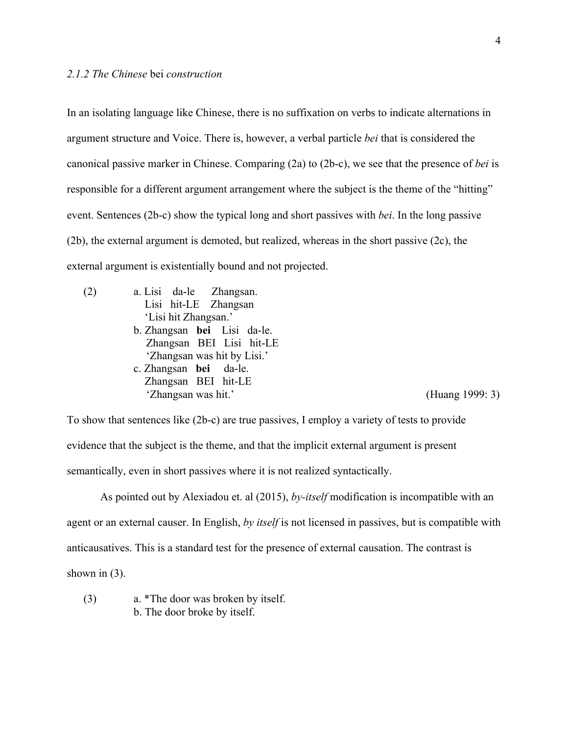In an isolating language like Chinese, there is no suffixation on verbs to indicate alternations in argument structure and Voice. There is, however, a verbal particle *bei* that is considered the canonical passive marker in Chinese. Comparing (2a) to (2b-c), we see that the presence of *bei* is responsible for a different argument arrangement where the subject is the theme of the "hitting" event. Sentences (2b-c) show the typical long and short passives with *bei*. In the long passive (2b), the external argument is demoted, but realized, whereas in the short passive (2c), the external argument is existentially bound and not projected.

(2) a. Lisi da-le Zhangsan. Lisi hit-LE Zhangsan 'Lisi hit Zhangsan.' b. Zhangsan **bei** Lisi da-le. Zhangsan BEI Lisi hit-LE 'Zhangsan was hit by Lisi.' c. Zhangsan **bei** da-le. Zhangsan BEI hit-LE 'Zhangsan was hit.' (Huang 1999: 3)

To show that sentences like (2b-c) are true passives, I employ a variety of tests to provide evidence that the subject is the theme, and that the implicit external argument is present semantically, even in short passives where it is not realized syntactically.

As pointed out by Alexiadou et. al (2015), *by-itself* modification is incompatible with an agent or an external causer. In English, *by itself* is not licensed in passives, but is compatible with anticausatives. This is a standard test for the presence of external causation. The contrast is shown in  $(3)$ .

(3) a. \*The door was broken by itself. b. The door broke by itself.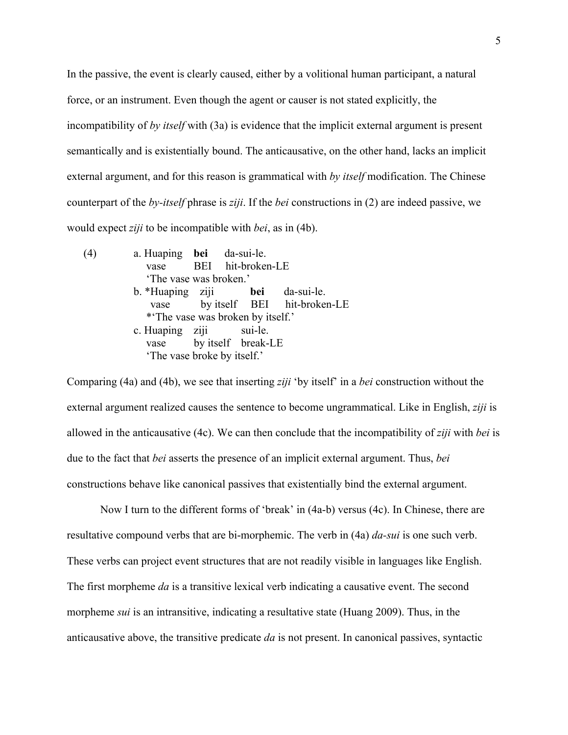In the passive, the event is clearly caused, either by a volitional human participant, a natural force, or an instrument. Even though the agent or causer is not stated explicitly, the incompatibility of *by itself* with (3a) is evidence that the implicit external argument is present semantically and is existentially bound. The anticausative, on the other hand, lacks an implicit external argument, and for this reason is grammatical with *by itself* modification. The Chinese counterpart of the *by-itself* phrase is *ziji*. If the *bei* constructions in (2) are indeed passive, we would expect *ziji* to be incompatible with *bei*, as in (4b).

(4) a. Huaping **bei** da-sui-le. vase BEI hit-broken-LE 'The vase was broken.' b. \*Huaping ziji **bei** da-sui-le. vase by itself BEI hit-broken-LE \*'The vase was broken by itself.' c. Huaping ziji sui-le. vase by itself break-LE 'The vase broke by itself.'

Comparing (4a) and (4b), we see that inserting *ziji* 'by itself' in a *bei* construction without the external argument realized causes the sentence to become ungrammatical. Like in English, *ziji* is allowed in the anticausative (4c). We can then conclude that the incompatibility of *ziji* with *bei* is due to the fact that *bei* asserts the presence of an implicit external argument. Thus, *bei*  constructions behave like canonical passives that existentially bind the external argument.

 Now I turn to the different forms of 'break' in (4a-b) versus (4c). In Chinese, there are resultative compound verbs that are bi-morphemic. The verb in (4a) *da-sui* is one such verb. These verbs can project event structures that are not readily visible in languages like English. The first morpheme *da* is a transitive lexical verb indicating a causative event. The second morpheme *sui* is an intransitive, indicating a resultative state (Huang 2009). Thus, in the anticausative above, the transitive predicate *da* is not present. In canonical passives, syntactic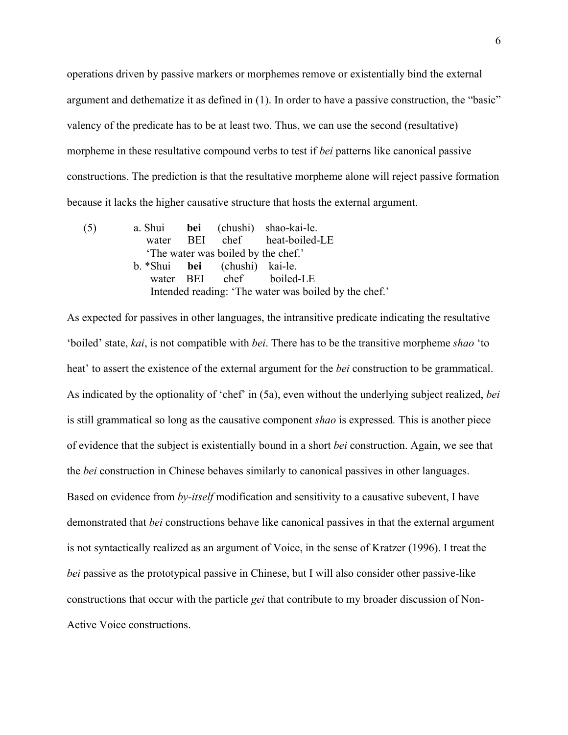operations driven by passive markers or morphemes remove or existentially bind the external argument and dethematize it as defined in (1). In order to have a passive construction, the "basic" valency of the predicate has to be at least two. Thus, we can use the second (resultative) morpheme in these resultative compound verbs to test if *bei* patterns like canonical passive constructions. The prediction is that the resultative morpheme alone will reject passive formation because it lacks the higher causative structure that hosts the external argument.

(5) a. Shui **bei** (chushi) shao-kai-le. water BEI chef heat-boiled-LE 'The water was boiled by the chef.' b. \*Shui **bei** (chushi) kai-le. water BEI chef boiled-LE Intended reading: 'The water was boiled by the chef.'

As expected for passives in other languages, the intransitive predicate indicating the resultative 'boiled' state, *kai*, is not compatible with *bei*. There has to be the transitive morpheme *shao* 'to heat' to assert the existence of the external argument for the *bei* construction to be grammatical. As indicated by the optionality of 'chef' in (5a), even without the underlying subject realized, *bei* is still grammatical so long as the causative component *shao* is expressed*.* This is another piece of evidence that the subject is existentially bound in a short *bei* construction. Again, we see that the *bei* construction in Chinese behaves similarly to canonical passives in other languages. Based on evidence from *by-itself* modification and sensitivity to a causative subevent, I have demonstrated that *bei* constructions behave like canonical passives in that the external argument is not syntactically realized as an argument of Voice, in the sense of Kratzer (1996). I treat the *bei* passive as the prototypical passive in Chinese, but I will also consider other passive-like constructions that occur with the particle *gei* that contribute to my broader discussion of Non-Active Voice constructions.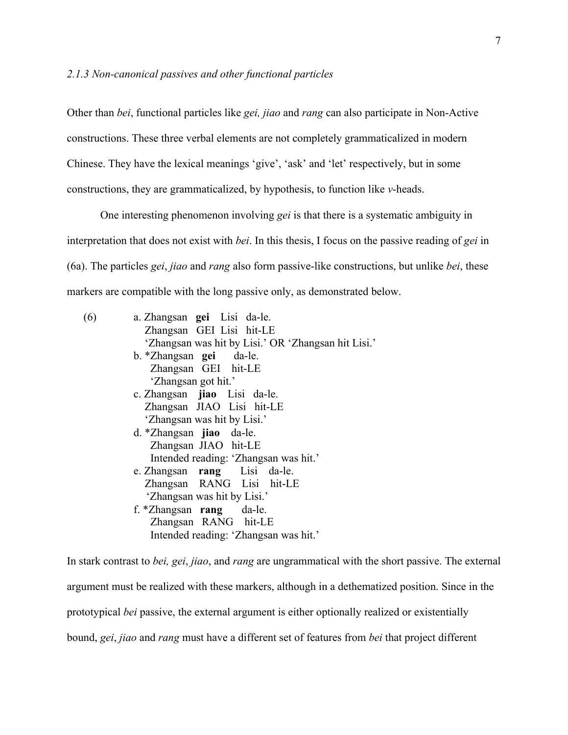## *2.1.3 Non-canonical passives and other functional particles*

Other than *bei*, functional particles like *gei, jiao* and *rang* can also participate in Non-Active constructions. These three verbal elements are not completely grammaticalized in modern Chinese. They have the lexical meanings 'give', 'ask' and 'let' respectively, but in some constructions, they are grammaticalized, by hypothesis, to function like *v*-heads.

One interesting phenomenon involving *gei* is that there is a systematic ambiguity in interpretation that does not exist with *bei*. In this thesis, I focus on the passive reading of *gei* in (6a). The particles *gei*, *jiao* and *rang* also form passive-like constructions, but unlike *bei*, these markers are compatible with the long passive only, as demonstrated below.

| a. Zhangsan gei Lisi da-le.                         |
|-----------------------------------------------------|
| Zhangsan GEI Lisi hit-LE                            |
| 'Zhangsan was hit by Lisi.' OR 'Zhangsan hit Lisi.' |
| b. *Zhangsan <b>gei</b> da-le.                      |
| Zhangsan GEI hit-LE                                 |
| 'Zhangsan got hit.'                                 |
| c. Zhangsan jiao Lisi da-le.                        |
| Zhangsan JIAO Lisi hit-LE                           |
| 'Zhangsan was hit by Lisi.'                         |
| d. *Zhangsan jiao da-le.                            |
| Zhangsan JIAO hit-LE                                |
| Intended reading: 'Zhangsan was hit.'               |
| e. Zhangsan rang Lisi da-le.                        |
| Zhangsan RANG Lisi hit-LE                           |
| 'Zhangsan was hit by Lisi.'                         |
| f. *Zhangsan rang da-le.                            |
| Zhangsan RANG hit-LE                                |
| Intended reading: 'Zhangsan was hit.'               |
|                                                     |

In stark contrast to *bei, gei*, *jiao*, and *rang* are ungrammatical with the short passive. The external argument must be realized with these markers, although in a dethematized position. Since in the prototypical *bei* passive, the external argument is either optionally realized or existentially bound, *gei*, *jiao* and *rang* must have a different set of features from *bei* that project different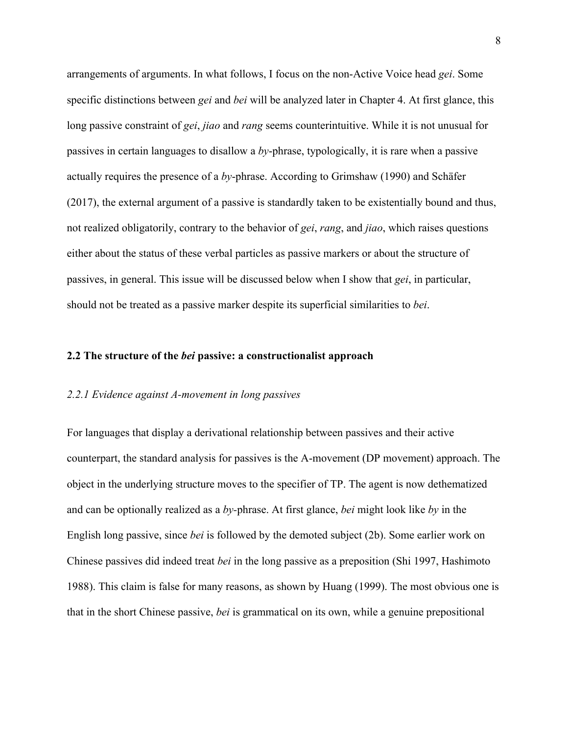arrangements of arguments. In what follows, I focus on the non-Active Voice head *gei*. Some specific distinctions between *gei* and *bei* will be analyzed later in Chapter 4. At first glance, this long passive constraint of *gei*, *jiao* and *rang* seems counterintuitive. While it is not unusual for passives in certain languages to disallow a *by*-phrase, typologically, it is rare when a passive actually requires the presence of a *by*-phrase. According to Grimshaw (1990) and Schäfer (2017), the external argument of a passive is standardly taken to be existentially bound and thus, not realized obligatorily, contrary to the behavior of *gei*, *rang*, and *jiao*, which raises questions either about the status of these verbal particles as passive markers or about the structure of passives, in general. This issue will be discussed below when I show that *gei*, in particular, should not be treated as a passive marker despite its superficial similarities to *bei*.

## **2.2 The structure of the** *bei* **passive: a constructionalist approach**

## *2.2.1 Evidence against A-movement in long passives*

For languages that display a derivational relationship between passives and their active counterpart, the standard analysis for passives is the A-movement (DP movement) approach. The object in the underlying structure moves to the specifier of TP. The agent is now dethematized and can be optionally realized as a *by-*phrase. At first glance, *bei* might look like *by* in the English long passive, since *bei* is followed by the demoted subject (2b). Some earlier work on Chinese passives did indeed treat *bei* in the long passive as a preposition (Shi 1997, Hashimoto 1988). This claim is false for many reasons, as shown by Huang (1999). The most obvious one is that in the short Chinese passive, *bei* is grammatical on its own, while a genuine prepositional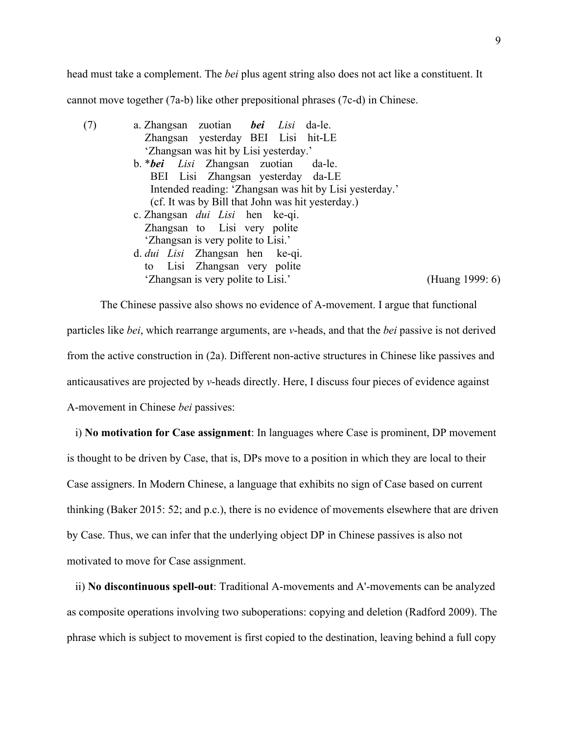head must take a complement. The *bei* plus agent string also does not act like a constituent. It cannot move together (7a-b) like other prepositional phrases (7c-d) in Chinese.

| a. Zhangsan zuotian bei Lisi da-le.                     |                 |
|---------------------------------------------------------|-----------------|
| Zhangsan yesterday BEI Lisi hit-LE                      |                 |
| 'Zhangsan was hit by Lisi yesterday.'                   |                 |
| b. <i>*bei Lisi</i> Zhangsan zuotian da-le.             |                 |
| BEI Lisi Zhangsan yesterday da-LE                       |                 |
| Intended reading: 'Zhangsan was hit by Lisi yesterday.' |                 |
| (cf. It was by Bill that John was hit yesterday.)       |                 |
| c. Zhangsan <i>dui Lisi</i> hen ke-qi.                  |                 |
| Zhangsan to Lisi very polite                            |                 |
| 'Zhangsan is very polite to Lisi.'                      |                 |
| d. <i>dui Lisi</i> Zhangsan hen ke-qi.                  |                 |
| Lisi Zhangsan very polite<br>to                         |                 |
| 'Zhangsan is very polite to Lisi.'                      | (Huang 1999: 6) |
|                                                         |                 |

The Chinese passive also shows no evidence of A-movement. I argue that functional particles like *bei*, which rearrange arguments, are *v*-heads, and that the *bei* passive is not derived from the active construction in (2a). Different non-active structures in Chinese like passives and anticausatives are projected by *v*-heads directly. Here, I discuss four pieces of evidence against A-movement in Chinese *bei* passives:

i) **No motivation for Case assignment**: In languages where Case is prominent, DP movement is thought to be driven by Case, that is, DPs move to a position in which they are local to their Case assigners. In Modern Chinese, a language that exhibits no sign of Case based on current thinking (Baker 2015: 52; and p.c.), there is no evidence of movements elsewhere that are driven by Case. Thus, we can infer that the underlying object DP in Chinese passives is also not motivated to move for Case assignment.

ii) **No discontinuous spell-out**: Traditional A-movements and A'-movements can be analyzed as composite operations involving two suboperations: copying and deletion (Radford 2009). The phrase which is subject to movement is first copied to the destination, leaving behind a full copy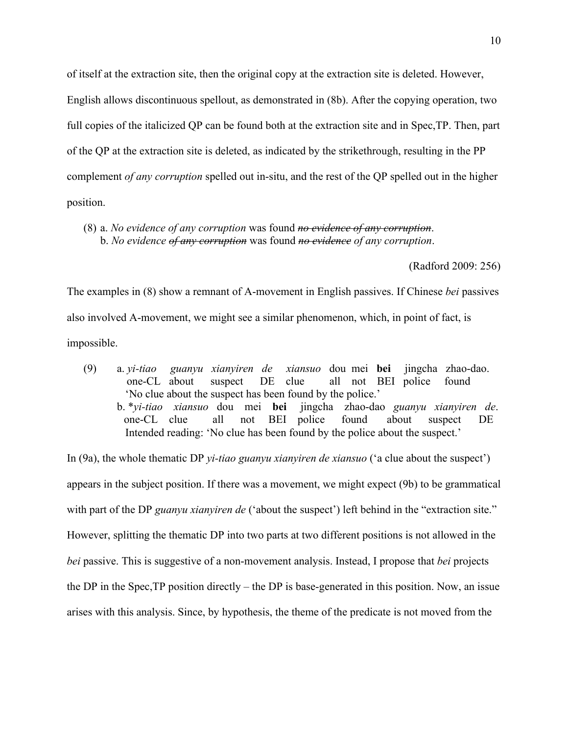of itself at the extraction site, then the original copy at the extraction site is deleted. However, English allows discontinuous spellout, as demonstrated in (8b). After the copying operation, two full copies of the italicized QP can be found both at the extraction site and in Spec,TP. Then, part of the QP at the extraction site is deleted, as indicated by the strikethrough, resulting in the PP complement *of any corruption* spelled out in-situ, and the rest of the QP spelled out in the higher position.

(8) a. *No evidence of any corruption* was found *no evidence of any corruption*. b. *No evidence of any corruption* was found *no evidence of any corruption*.

(Radford 2009: 256)

The examples in (8) show a remnant of A-movement in English passives. If Chinese *bei* passives also involved A-movement, we might see a similar phenomenon, which, in point of fact, is impossible.

(9) a. *yi-tiao guanyu xianyiren de xiansuo* dou mei **bei** jingcha zhao-dao. one-CL about suspect DE clue all not BEI police found 'No clue about the suspect has been found by the police.' b. \**yi-tiao xiansuo* dou mei **bei** jingcha zhao-dao *guanyu xianyiren de*. one-CL clue all not BEI police found about suspect DE Intended reading: 'No clue has been found by the police about the suspect.'

In (9a), the whole thematic DP *yi-tiao guanyu xianyiren de xiansuo* ('a clue about the suspect') appears in the subject position. If there was a movement, we might expect (9b) to be grammatical with part of the DP *guanyu xianyiren de* ('about the suspect') left behind in the "extraction site." However, splitting the thematic DP into two parts at two different positions is not allowed in the *bei* passive. This is suggestive of a non-movement analysis. Instead, I propose that *bei* projects the DP in the Spec,TP position directly – the DP is base-generated in this position. Now, an issue arises with this analysis. Since, by hypothesis, the theme of the predicate is not moved from the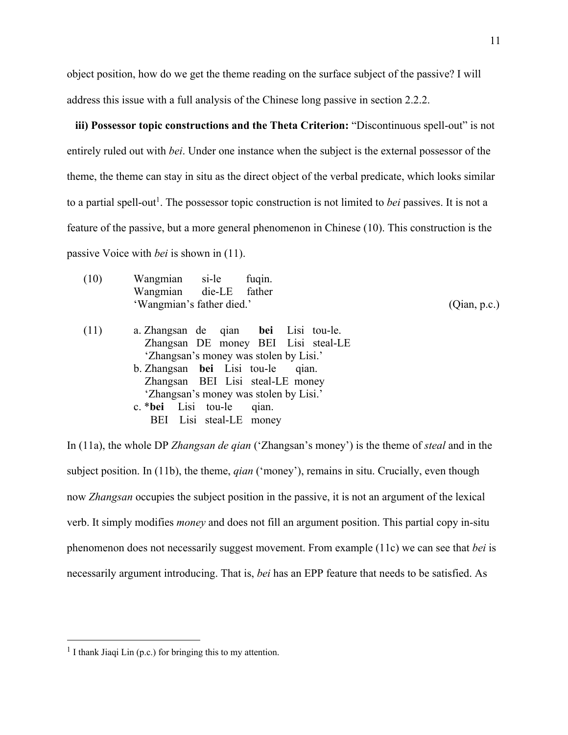object position, how do we get the theme reading on the surface subject of the passive? I will address this issue with a full analysis of the Chinese long passive in section 2.2.2.

**iii) Possessor topic constructions and the Theta Criterion:** "Discontinuous spell-out" is not entirely ruled out with *bei*. Under one instance when the subject is the external possessor of the theme, the theme can stay in situ as the direct object of the verbal predicate, which looks similar to a partial spell-out<sup>1</sup>. The possessor topic construction is not limited to *bei* passives. It is not a feature of the passive, but a more general phenomenon in Chinese (10). This construction is the passive Voice with *bei* is shown in (11).

| (10) | Wangmian si-le<br>fuqin.               |              |
|------|----------------------------------------|--------------|
|      | Wangmian die-LE father                 |              |
|      | 'Wangmian's father died.'              | (Qian, p.c.) |
| (11) | a. Zhangsan de qian bei Lisi tou-le.   |              |
|      | Zhangsan DE money BEI Lisi steal-LE    |              |
|      | 'Zhangsan's money was stolen by Lisi.' |              |
|      | b. Zhangsan bei Lisi tou-le<br>qian.   |              |
|      | Zhangsan BEI Lisi steal-LE money       |              |
|      | 'Zhangsan's money was stolen by Lisi.' |              |
|      | c. * <b>bei</b> Lisi tou-le<br>qian.   |              |
|      | BEI Lisi steal-LE money                |              |

In (11a), the whole DP *Zhangsan de qian* ('Zhangsan's money') is the theme of *steal* and in the subject position. In (11b), the theme, *qian* ('money'), remains in situ. Crucially, even though now *Zhangsan* occupies the subject position in the passive, it is not an argument of the lexical verb. It simply modifies *money* and does not fill an argument position. This partial copy in-situ phenomenon does not necessarily suggest movement. From example (11c) we can see that *bei* is necessarily argument introducing. That is, *bei* has an EPP feature that needs to be satisfied. As

 $<sup>1</sup>$  I thank Jiaqi Lin (p.c.) for bringing this to my attention.</sup>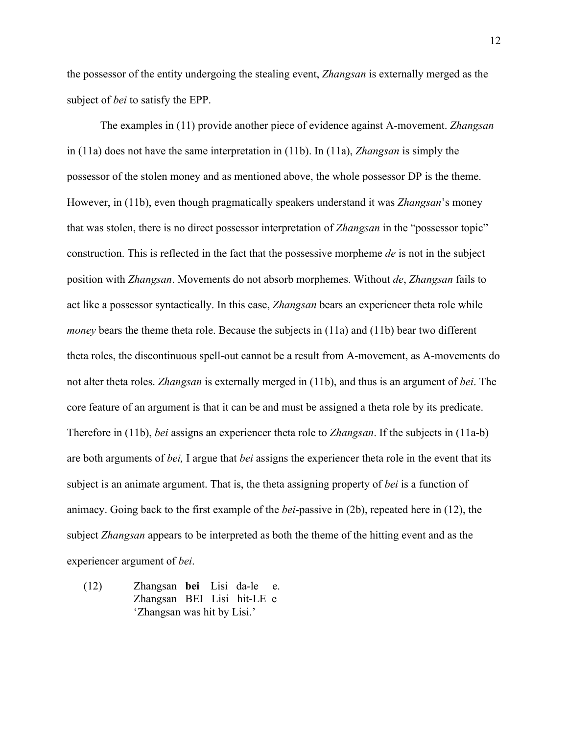the possessor of the entity undergoing the stealing event, *Zhangsan* is externally merged as the subject of *bei* to satisfy the EPP.

The examples in (11) provide another piece of evidence against A-movement. *Zhangsan* in (11a) does not have the same interpretation in (11b). In (11a), *Zhangsan* is simply the possessor of the stolen money and as mentioned above, the whole possessor DP is the theme. However, in (11b), even though pragmatically speakers understand it was *Zhangsan*'s money that was stolen, there is no direct possessor interpretation of *Zhangsan* in the "possessor topic" construction. This is reflected in the fact that the possessive morpheme *de* is not in the subject position with *Zhangsan*. Movements do not absorb morphemes. Without *de*, *Zhangsan* fails to act like a possessor syntactically. In this case, *Zhangsan* bears an experiencer theta role while *money* bears the theme theta role. Because the subjects in (11a) and (11b) bear two different theta roles, the discontinuous spell-out cannot be a result from A-movement, as A-movements do not alter theta roles. *Zhangsan* is externally merged in (11b), and thus is an argument of *bei*. The core feature of an argument is that it can be and must be assigned a theta role by its predicate. Therefore in (11b), *bei* assigns an experiencer theta role to *Zhangsan*. If the subjects in (11a-b) are both arguments of *bei,* I argue that *bei* assigns the experiencer theta role in the event that its subject is an animate argument. That is, the theta assigning property of *bei* is a function of animacy. Going back to the first example of the *bei*-passive in (2b), repeated here in (12), the subject *Zhangsan* appears to be interpreted as both the theme of the hitting event and as the experiencer argument of *bei*.

(12) Zhangsan **bei** Lisi da-le e. Zhangsan BEI Lisi hit-LE e 'Zhangsan was hit by Lisi.'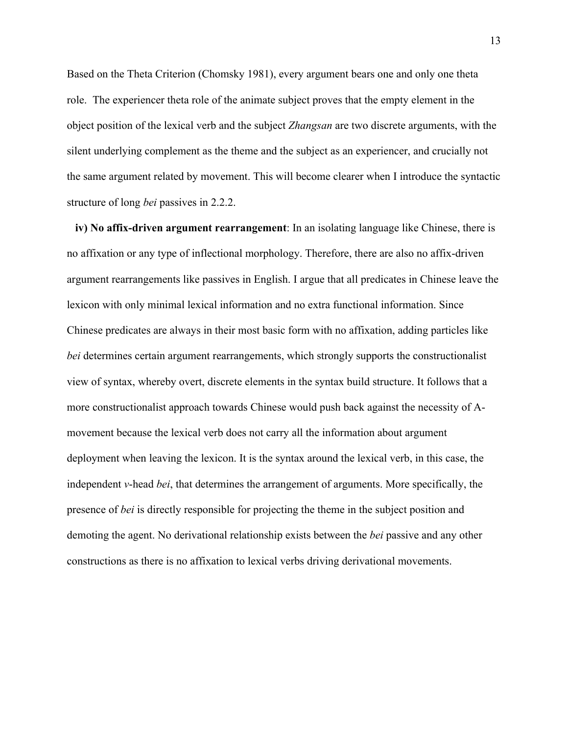Based on the Theta Criterion (Chomsky 1981), every argument bears one and only one theta role. The experiencer theta role of the animate subject proves that the empty element in the object position of the lexical verb and the subject *Zhangsan* are two discrete arguments, with the silent underlying complement as the theme and the subject as an experiencer, and crucially not the same argument related by movement. This will become clearer when I introduce the syntactic structure of long *bei* passives in 2.2.2.

**iv) No affix-driven argument rearrangement**: In an isolating language like Chinese, there is no affixation or any type of inflectional morphology. Therefore, there are also no affix-driven argument rearrangements like passives in English. I argue that all predicates in Chinese leave the lexicon with only minimal lexical information and no extra functional information. Since Chinese predicates are always in their most basic form with no affixation, adding particles like *bei* determines certain argument rearrangements, which strongly supports the constructionalist view of syntax, whereby overt, discrete elements in the syntax build structure. It follows that a more constructionalist approach towards Chinese would push back against the necessity of Amovement because the lexical verb does not carry all the information about argument deployment when leaving the lexicon. It is the syntax around the lexical verb, in this case, the independent *v*-head *bei*, that determines the arrangement of arguments. More specifically, the presence of *bei* is directly responsible for projecting the theme in the subject position and demoting the agent. No derivational relationship exists between the *bei* passive and any other constructions as there is no affixation to lexical verbs driving derivational movements.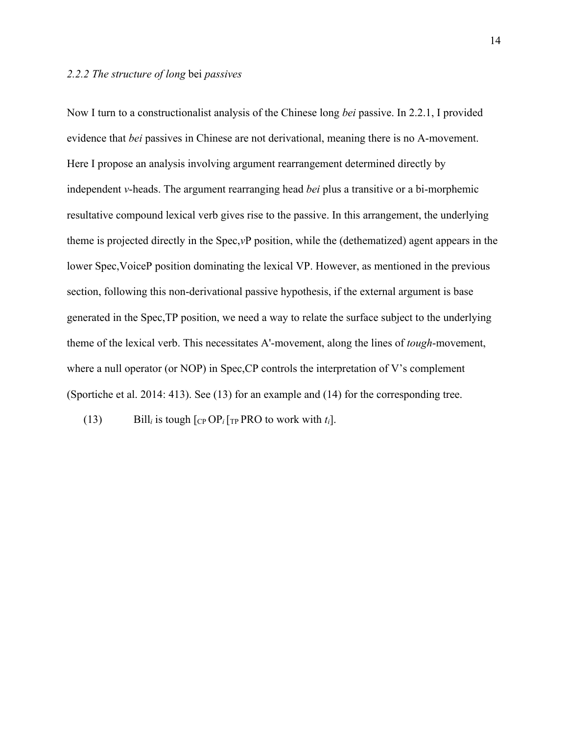Now I turn to a constructionalist analysis of the Chinese long *bei* passive. In 2.2.1, I provided evidence that *bei* passives in Chinese are not derivational, meaning there is no A-movement. Here I propose an analysis involving argument rearrangement determined directly by independent *v*-heads. The argument rearranging head *bei* plus a transitive or a bi-morphemic resultative compound lexical verb gives rise to the passive. In this arrangement, the underlying theme is projected directly in the Spec,*v*P position, while the (dethematized) agent appears in the lower Spec,VoiceP position dominating the lexical VP. However, as mentioned in the previous section, following this non-derivational passive hypothesis, if the external argument is base generated in the Spec,TP position, we need a way to relate the surface subject to the underlying theme of the lexical verb. This necessitates A'-movement, along the lines of *tough*-movement, where a null operator (or NOP) in Spec, CP controls the interpretation of V's complement (Sportiche et al. 2014: 413). See (13) for an example and (14) for the corresponding tree.

(13) Bill<sub>i</sub> is tough  $\lceil \frac{CP}{CP} \rceil$ <sub>TP</sub> PRO to work with  $t_i$ .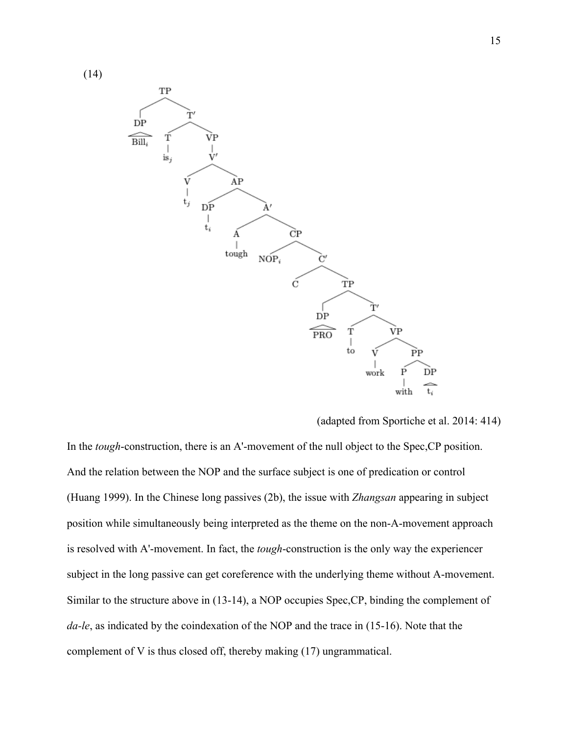(14)



(adapted from Sportiche et al. 2014: 414)

In the *tough*-construction, there is an A'-movement of the null object to the Spec,CP position. And the relation between the NOP and the surface subject is one of predication or control (Huang 1999). In the Chinese long passives (2b), the issue with *Zhangsan* appearing in subject position while simultaneously being interpreted as the theme on the non-A-movement approach is resolved with A'-movement. In fact, the *tough*-construction is the only way the experiencer subject in the long passive can get coreference with the underlying theme without A-movement. Similar to the structure above in (13-14), a NOP occupies Spec,CP, binding the complement of *da-le*, as indicated by the coindexation of the NOP and the trace in (15-16). Note that the complement of V is thus closed off, thereby making (17) ungrammatical.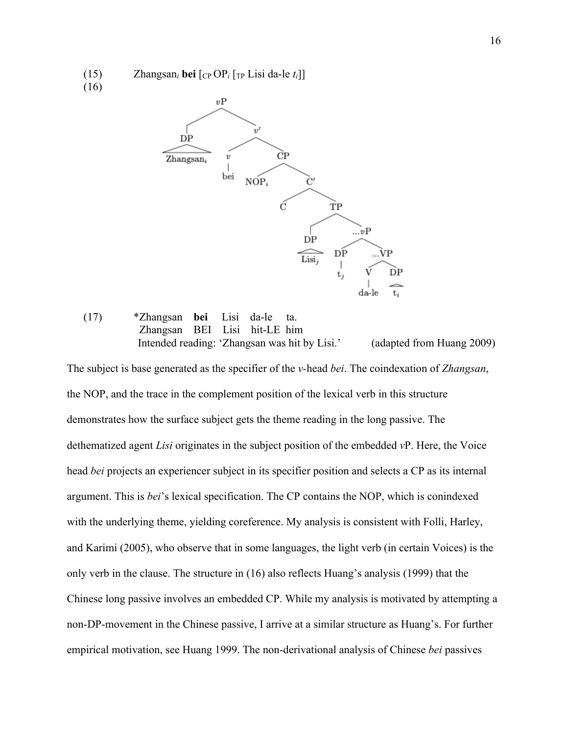(15) Zhangsan<sub>i</sub> bei  $\lceil \frac{C_P}{P_i} \rceil$ <sub>TP</sub> Lisi da-le  $t_i \rceil$ ]





## (17) \*Zhangsan **bei** Lisi da-le ta. Zhangsan BEI Lisi hit-LE him Intended reading: 'Zhangsan was hit by Lisi.' (adapted from Huang 2009)

The subject is base generated as the specifier of the *v-*head *bei*. The coindexation of *Zhangsan*, the NOP, and the trace in the complement position of the lexical verb in this structure demonstrates how the surface subject gets the theme reading in the long passive. The dethematized agent *Lisi* originates in the subject position of the embedded *v*P. Here, the Voice head *bei* projects an experiencer subject in its specifier position and selects a CP as its internal argument. This is *bei*'s lexical specification. The CP contains the NOP, which is conindexed with the underlying theme, yielding coreference. My analysis is consistent with Folli, Harley, and Karimi (2005), who observe that in some languages, the light verb (in certain Voices) is the only verb in the clause. The structure in (16) also reflects Huang's analysis (1999) that the Chinese long passive involves an embedded CP. While my analysis is motivated by attempting a non-DP-movement in the Chinese passive, I arrive at a similar structure as Huang's. For further empirical motivation, see Huang 1999. The non-derivational analysis of Chinese *bei* passives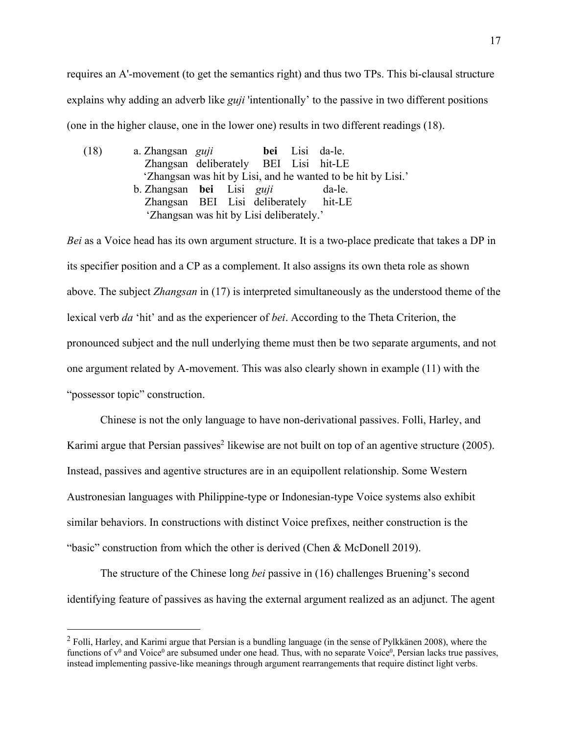requires an A'-movement (to get the semantics right) and thus two TPs. This bi-clausal structure explains why adding an adverb like *guji* 'intentionally' to the passive in two different positions (one in the higher clause, one in the lower one) results in two different readings (18).

(18) a. Zhangsan *guji* **bei** Lisi da-le. Zhangsan deliberately BEI Lisi hit-LE 'Zhangsan was hit by Lisi, and he wanted to be hit by Lisi.' b. Zhangsan **bei** Lisi *guji* da-le. Zhangsan BEI Lisi deliberately hit-LE 'Zhangsan was hit by Lisi deliberately.'

*Bei* as a Voice head has its own argument structure. It is a two-place predicate that takes a DP in its specifier position and a CP as a complement. It also assigns its own theta role as shown above. The subject *Zhangsan* in (17) is interpreted simultaneously as the understood theme of the lexical verb *da* 'hit' and as the experiencer of *bei*. According to the Theta Criterion, the pronounced subject and the null underlying theme must then be two separate arguments, and not one argument related by A-movement. This was also clearly shown in example (11) with the "possessor topic" construction.

Chinese is not the only language to have non-derivational passives. Folli, Harley, and Karimi argue that Persian passives<sup>2</sup> likewise are not built on top of an agentive structure  $(2005)$ . Instead, passives and agentive structures are in an equipollent relationship. Some Western Austronesian languages with Philippine-type or Indonesian-type Voice systems also exhibit similar behaviors. In constructions with distinct Voice prefixes, neither construction is the "basic" construction from which the other is derived (Chen & McDonell 2019).

The structure of the Chinese long *bei* passive in (16) challenges Bruening's second identifying feature of passives as having the external argument realized as an adjunct. The agent

 $2$  Folli, Harley, and Karimi argue that Persian is a bundling language (in the sense of Pylkkänen 2008), where the functions of  $v^0$  and Voice<sup>0</sup> are subsumed under one head. Thus, with no separate Voice<sup>0</sup>, Persian lacks true passives, instead implementing passive-like meanings through argument rearrangements that require distinct light verbs.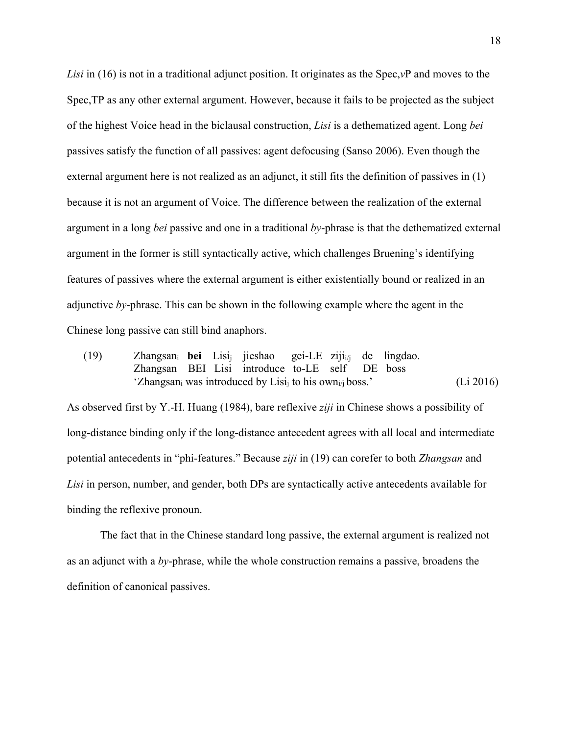*Lisi* in (16) is not in a traditional adjunct position. It originates as the Spec,*v*P and moves to the Spec,TP as any other external argument. However, because it fails to be projected as the subject of the highest Voice head in the biclausal construction, *Lisi* is a dethematized agent. Long *bei*  passives satisfy the function of all passives: agent defocusing (Sanso 2006). Even though the external argument here is not realized as an adjunct, it still fits the definition of passives in (1) because it is not an argument of Voice. The difference between the realization of the external argument in a long *bei* passive and one in a traditional *by*-phrase is that the dethematized external argument in the former is still syntactically active, which challenges Bruening's identifying features of passives where the external argument is either existentially bound or realized in an adjunctive *by*-phrase. This can be shown in the following example where the agent in the Chinese long passive can still bind anaphors.

(19) Zhangsani **bei** Lisij jieshao gei-LE zijii/j de lingdao. Zhangsan BEI Lisi introduce to-LE self DE boss 'Zhangsan<sub>i</sub> was introduced by Lisi<sub>i</sub> to his own<sub>i/j</sub> boss.' (Li 2016)

As observed first by Y.-H. Huang (1984), bare reflexive *ziji* in Chinese shows a possibility of long-distance binding only if the long-distance antecedent agrees with all local and intermediate potential antecedents in "phi-features." Because *ziji* in (19) can corefer to both *Zhangsan* and *Lisi* in person, number, and gender, both DPs are syntactically active antecedents available for binding the reflexive pronoun.

The fact that in the Chinese standard long passive, the external argument is realized not as an adjunct with a *by*-phrase, while the whole construction remains a passive, broadens the definition of canonical passives.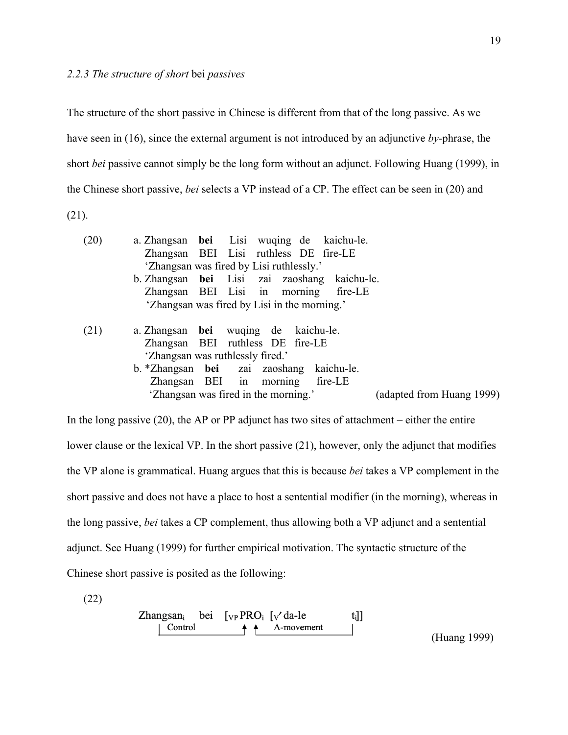The structure of the short passive in Chinese is different from that of the long passive. As we have seen in (16), since the external argument is not introduced by an adjunctive *by*-phrase, the short *bei* passive cannot simply be the long form without an adjunct. Following Huang (1999), in the Chinese short passive, *bei* selects a VP instead of a CP. The effect can be seen in (20) and (21).

(20) a. Zhangsan **bei** Lisi wuqing de kaichu-le. Zhangsan BEI Lisi ruthless DE fire-LE 'Zhangsan was fired by Lisi ruthlessly.' b. Zhangsan **bei** Lisi zai zaoshang kaichu-le. Zhangsan BEI Lisi in morning fire-LE 'Zhangsan was fired by Lisi in the morning.' (21) a. Zhangsan **bei** wuqing de kaichu-le. Zhangsan BEI ruthless DE fire-LE 'Zhangsan was ruthlessly fired.' b. \*Zhangsan **bei** zai zaoshang kaichu-le. Zhangsan BEI in morning fire-LE 'Zhangsan was fired in the morning.' (adapted from Huang 1999)

In the long passive  $(20)$ , the AP or PP adjunct has two sites of attachment – either the entire lower clause or the lexical VP. In the short passive (21), however, only the adjunct that modifies the VP alone is grammatical. Huang argues that this is because *bei* takes a VP complement in the short passive and does not have a place to host a sentential modifier (in the morning), whereas in the long passive, *bei* takes a CP complement, thus allowing both a VP adjunct and a sentential adjunct. See Huang (1999) for further empirical motivation. The syntactic structure of the Chinese short passive is posited as the following:

(22)

| Zhangsan <sub>i</sub> | bei | [ $v$ PRO <sub>i</sub> [ $v'$ da-le | t <sub>i</sub> ]] |
|-----------------------|-----|-------------------------------------|-------------------|
| Control               |     | A-movement                          |                   |

(Huang 1999)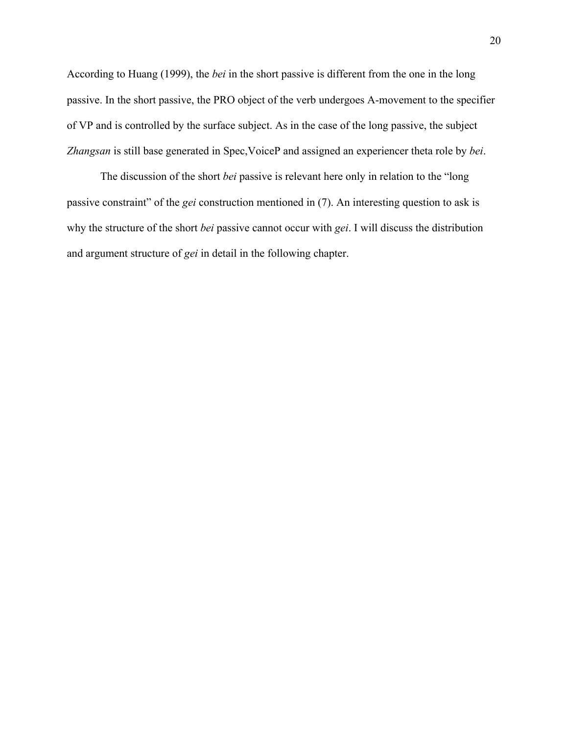According to Huang (1999), the *bei* in the short passive is different from the one in the long passive. In the short passive, the PRO object of the verb undergoes A-movement to the specifier of VP and is controlled by the surface subject. As in the case of the long passive, the subject *Zhangsan* is still base generated in Spec,VoiceP and assigned an experiencer theta role by *bei*.

The discussion of the short *bei* passive is relevant here only in relation to the "long passive constraint" of the *gei* construction mentioned in (7). An interesting question to ask is why the structure of the short *bei* passive cannot occur with *gei*. I will discuss the distribution and argument structure of *gei* in detail in the following chapter.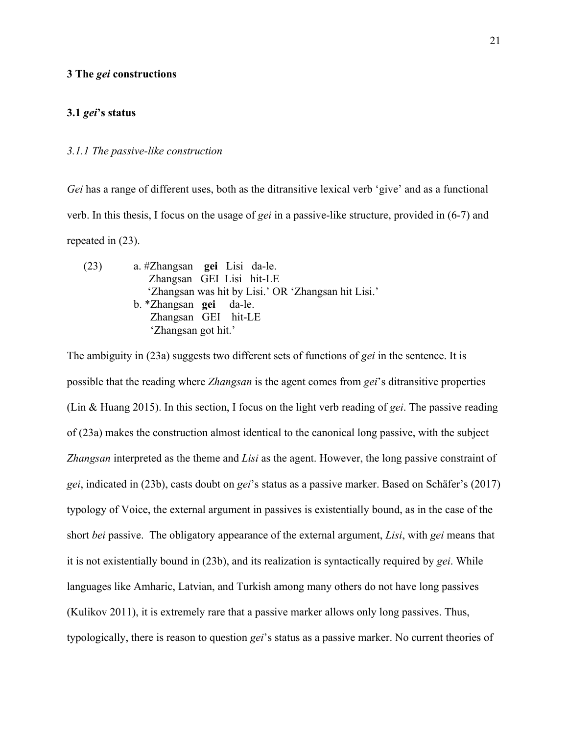## **3 The** *gei* **constructions**

## **3.1** *gei***'s status**

## *3.1.1 The passive-like construction*

*Gei* has a range of different uses, both as the ditransitive lexical verb 'give' and as a functional verb. In this thesis, I focus on the usage of *gei* in a passive-like structure, provided in (6-7) and repeated in (23).

| (23) | a. #Zhangsan <b>gei</b> Lisi da-le.                 |
|------|-----------------------------------------------------|
|      | Zhangsan GEI Lisi hit-LE                            |
|      | 'Zhangsan was hit by Lisi.' OR 'Zhangsan hit Lisi.' |
|      | b. *Zhangsan <b>gei</b> da-le.                      |
|      | Zhangsan GEI hit-LE                                 |
|      | 'Zhangsan got hit.'                                 |

The ambiguity in (23a) suggests two different sets of functions of *gei* in the sentence. It is possible that the reading where *Zhangsan* is the agent comes from *gei*'s ditransitive properties (Lin & Huang 2015). In this section, I focus on the light verb reading of *gei*. The passive reading of (23a) makes the construction almost identical to the canonical long passive, with the subject *Zhangsan* interpreted as the theme and *Lisi* as the agent. However, the long passive constraint of *gei*, indicated in (23b), casts doubt on *gei*'s status as a passive marker. Based on Schäfer's (2017) typology of Voice, the external argument in passives is existentially bound, as in the case of the short *bei* passive. The obligatory appearance of the external argument, *Lisi*, with *gei* means that it is not existentially bound in (23b), and its realization is syntactically required by *gei*. While languages like Amharic, Latvian, and Turkish among many others do not have long passives (Kulikov 2011), it is extremely rare that a passive marker allows only long passives. Thus, typologically, there is reason to question *gei*'s status as a passive marker. No current theories of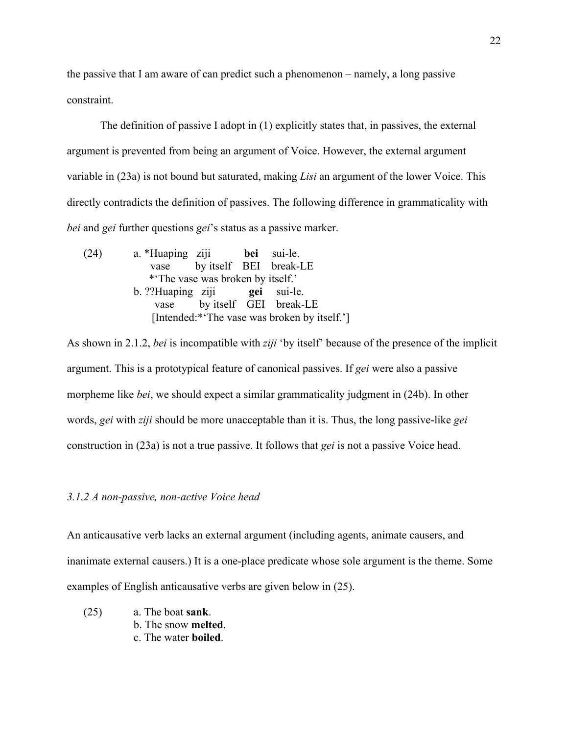the passive that I am aware of can predict such a phenomenon – namely, a long passive constraint.

The definition of passive I adopt in (1) explicitly states that, in passives, the external argument is prevented from being an argument of Voice. However, the external argument variable in (23a) is not bound but saturated, making *Lisi* an argument of the lower Voice. This directly contradicts the definition of passives. The following difference in grammaticality with *bei* and *gei* further questions *gei*'s status as a passive marker.

(24) a. \*Huaping ziji **bei** sui-le. vase by itself BEI break-LE \*'The vase was broken by itself.' b. ??Huaping ziji **gei** sui-le. vase by itself GEI break-LE [Intended:\*'The vase was broken by itself.']

As shown in 2.1.2, *bei* is incompatible with *ziji* 'by itself' because of the presence of the implicit argument. This is a prototypical feature of canonical passives. If *gei* were also a passive morpheme like *bei*, we should expect a similar grammaticality judgment in (24b). In other words, *gei* with *ziji* should be more unacceptable than it is. Thus, the long passive-like *gei* construction in (23a) is not a true passive. It follows that *gei* is not a passive Voice head.

## *3.1.2 A non-passive, non-active Voice head*

An anticausative verb lacks an external argument (including agents, animate causers, and inanimate external causers.) It is a one-place predicate whose sole argument is the theme. Some examples of English anticausative verbs are given below in (25).

(25) a. The boat **sank**. b. The snow **melted**. c. The water **boiled**.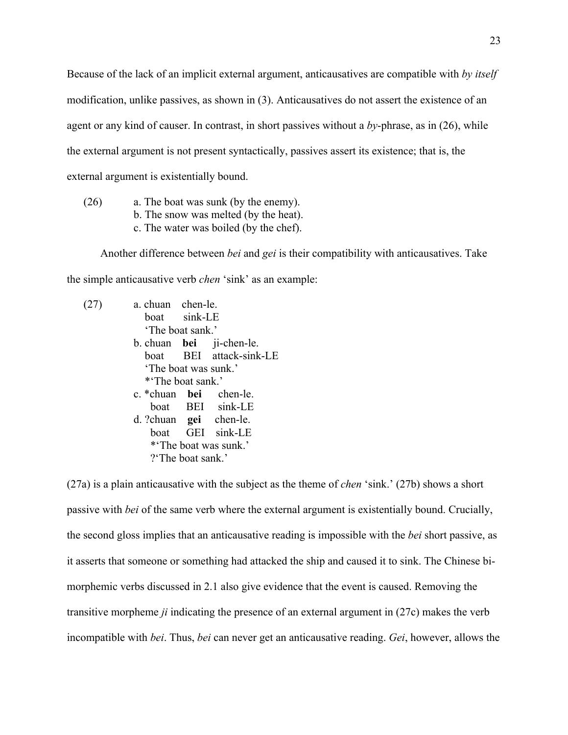Because of the lack of an implicit external argument, anticausatives are compatible with *by itself* modification, unlike passives, as shown in (3). Anticausatives do not assert the existence of an agent or any kind of causer. In contrast, in short passives without a *by*-phrase, as in (26), while the external argument is not present syntactically, passives assert its existence; that is, the external argument is existentially bound.

(26) a. The boat was sunk (by the enemy). b. The snow was melted (by the heat). c. The water was boiled (by the chef).

Another difference between *bei* and *gei* is their compatibility with anticausatives. Take the simple anticausative verb *chen* 'sink' as an example:

| a. chuan chen-le.      |                          |
|------------------------|--------------------------|
| boat sink-LE           |                          |
| 'The boat sank.'       |                          |
|                        | b. chuan bei ji-chen-le. |
|                        | boat BEI attack-sink-LE  |
| 'The boat was sunk.'   |                          |
| **The boat sank.'      |                          |
| c. *chuan bei chen-le. |                          |
|                        | boat BEI sink-LE         |
| d. ?chuan gei chen-le. |                          |
|                        | boat GEI sink-LE         |
|                        | *'The boat was sunk.'    |
| ?'The boat sank.'      |                          |

(27a) is a plain anticausative with the subject as the theme of *chen* 'sink.' (27b) shows a short passive with *bei* of the same verb where the external argument is existentially bound. Crucially, the second gloss implies that an anticausative reading is impossible with the *bei* short passive, as it asserts that someone or something had attacked the ship and caused it to sink. The Chinese bimorphemic verbs discussed in 2.1 also give evidence that the event is caused. Removing the transitive morpheme *ji* indicating the presence of an external argument in (27c) makes the verb incompatible with *bei*. Thus, *bei* can never get an anticausative reading. *Gei*, however, allows the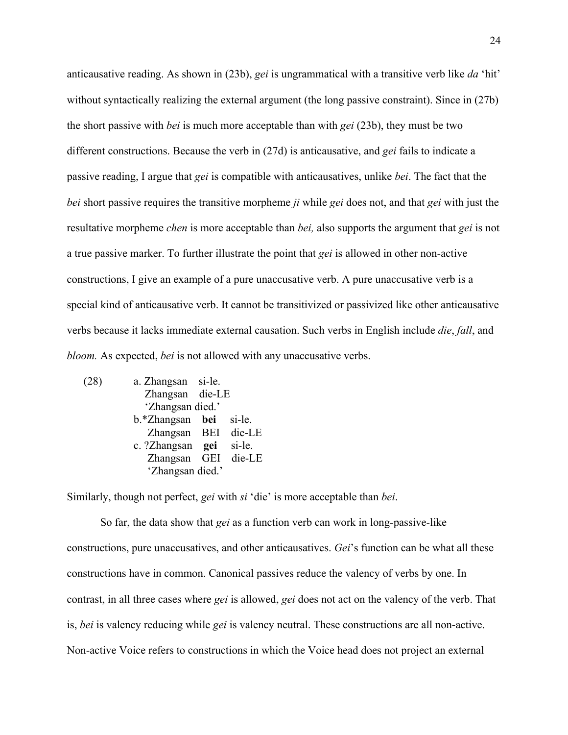anticausative reading. As shown in (23b), *gei* is ungrammatical with a transitive verb like *da* 'hit' without syntactically realizing the external argument (the long passive constraint). Since in (27b) the short passive with *bei* is much more acceptable than with *gei* (23b), they must be two different constructions. Because the verb in (27d) is anticausative, and *gei* fails to indicate a passive reading, I argue that *gei* is compatible with anticausatives, unlike *bei*. The fact that the *bei* short passive requires the transitive morpheme *ji* while *gei* does not, and that *gei* with just the resultative morpheme *chen* is more acceptable than *bei,* also supports the argument that *gei* is not a true passive marker. To further illustrate the point that *gei* is allowed in other non-active constructions, I give an example of a pure unaccusative verb. A pure unaccusative verb is a special kind of anticausative verb. It cannot be transitivized or passivized like other anticausative verbs because it lacks immediate external causation. Such verbs in English include *die*, *fall*, and *bloom.* As expected, *bei* is not allowed with any unaccusative verbs.

| (28) | a. Zhangsan si-le.      |        |
|------|-------------------------|--------|
|      | Zhangsan die-LE         |        |
|      | 'Zhangsan died.'        |        |
|      | b.*Zhangsan bei         | si-le. |
|      | Zhangsan BEI die-LE     |        |
|      | c. ?Zhangsan <b>gei</b> | si-le. |
|      | Zhangsan GEI die-LE     |        |
|      | 'Zhangsan died.'        |        |
|      |                         |        |

Similarly, though not perfect, *gei* with *si* 'die' is more acceptable than *bei*.

So far, the data show that *gei* as a function verb can work in long-passive-like constructions, pure unaccusatives, and other anticausatives. *Gei*'s function can be what all these constructions have in common. Canonical passives reduce the valency of verbs by one. In contrast, in all three cases where *gei* is allowed, *gei* does not act on the valency of the verb. That is, *bei* is valency reducing while *gei* is valency neutral. These constructions are all non-active. Non-active Voice refers to constructions in which the Voice head does not project an external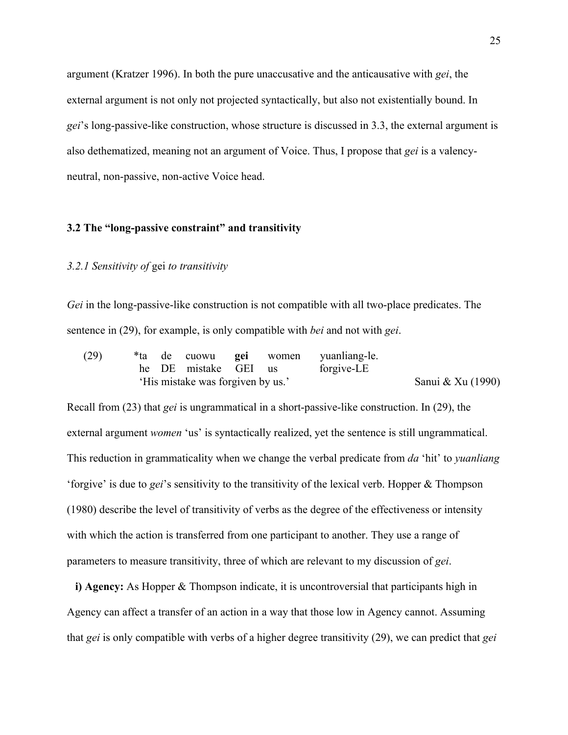argument (Kratzer 1996). In both the pure unaccusative and the anticausative with *gei*, the external argument is not only not projected syntactically, but also not existentially bound. In *gei*'s long-passive-like construction, whose structure is discussed in 3.3, the external argument is also dethematized, meaning not an argument of Voice. Thus, I propose that *gei* is a valencyneutral, non-passive, non-active Voice head.

### **3.2 The "long-passive constraint" and transitivity**

## *3.2.1 Sensitivity of* gei *to transitivity*

*Gei* in the long-passive-like construction is not compatible with all two-place predicates. The sentence in (29), for example, is only compatible with *bei* and not with *gei*.

| (29) |  |                                   |  | *ta de cuowu <b>gei</b> women yuanliang-le. |                   |
|------|--|-----------------------------------|--|---------------------------------------------|-------------------|
|      |  | he DE mistake GEI us              |  | forgive-LE                                  |                   |
|      |  | 'His mistake was forgiven by us.' |  |                                             | Sanui & Xu (1990) |

Recall from (23) that *gei* is ungrammatical in a short-passive-like construction. In (29), the external argument *women* 'us' is syntactically realized, yet the sentence is still ungrammatical. This reduction in grammaticality when we change the verbal predicate from *da* 'hit' to *yuanliang* 'forgive' is due to *gei*'s sensitivity to the transitivity of the lexical verb. Hopper & Thompson (1980) describe the level of transitivity of verbs as the degree of the effectiveness or intensity with which the action is transferred from one participant to another. They use a range of parameters to measure transitivity, three of which are relevant to my discussion of *gei*.

**i) Agency:** As Hopper & Thompson indicate, it is uncontroversial that participants high in Agency can affect a transfer of an action in a way that those low in Agency cannot. Assuming that *gei* is only compatible with verbs of a higher degree transitivity (29), we can predict that *gei*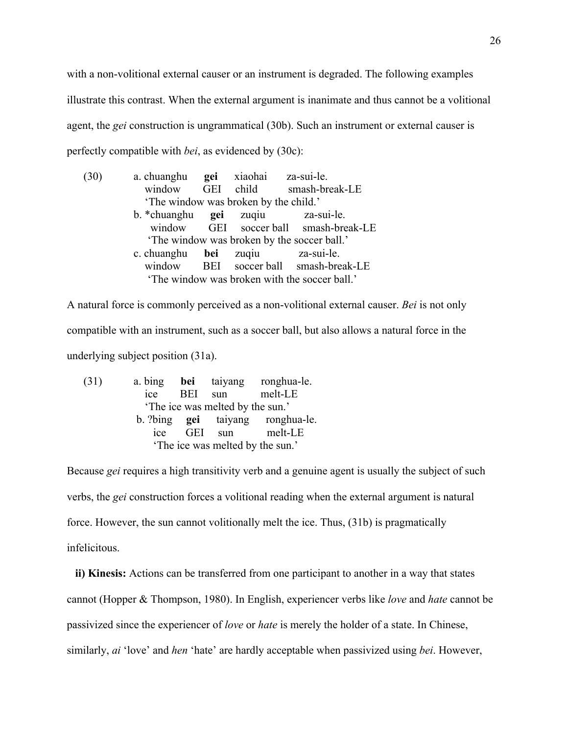with a non-volitional external causer or an instrument is degraded. The following examples illustrate this contrast. When the external argument is inanimate and thus cannot be a volitional agent, the *gei* construction is ungrammatical (30b). Such an instrument or external causer is perfectly compatible with *bei*, as evidenced by (30c):

| (30) | a. chuanghu <b>gei</b> xiaohai za-sui-le. |                                       |                                               |
|------|-------------------------------------------|---------------------------------------|-----------------------------------------------|
|      |                                           |                                       | window GEI child smash-break-LE               |
|      |                                           | 'The window was broken by the child.' |                                               |
|      | b. *chuanghu <b>gei</b> zuqiu za-sui-le.  |                                       |                                               |
|      |                                           |                                       | window GEI soccer ball smash-break-LE         |
|      |                                           |                                       | 'The window was broken by the soccer ball.'   |
|      | c. chuanghu bei zuqiu                     |                                       | za-sui-le.                                    |
|      |                                           |                                       | window BEI soccer ball smash-break-LE         |
|      |                                           |                                       | 'The window was broken with the soccer ball.' |

A natural force is commonly perceived as a non-volitional external causer. *Bei* is not only compatible with an instrument, such as a soccer ball, but also allows a natural force in the underlying subject position (31a).

| (31) |     |     |                                  | a. bing bei taiyang ronghua-le.         |
|------|-----|-----|----------------------------------|-----------------------------------------|
|      | ice | BEI | sun                              | melt-LE                                 |
|      |     |     | 'The ice was melted by the sun.' |                                         |
|      |     |     |                                  | b. ?bing <b>gei</b> taiyang ronghua-le. |
|      | ice |     | GEI sun                          | melt-LE                                 |
|      |     |     | 'The ice was melted by the sun.' |                                         |

Because *gei* requires a high transitivity verb and a genuine agent is usually the subject of such verbs, the *gei* construction forces a volitional reading when the external argument is natural force. However, the sun cannot volitionally melt the ice. Thus, (31b) is pragmatically infelicitous.

**ii) Kinesis:** Actions can be transferred from one participant to another in a way that states cannot (Hopper & Thompson, 1980). In English, experiencer verbs like *love* and *hate* cannot be passivized since the experiencer of *love* or *hate* is merely the holder of a state. In Chinese, similarly, *ai* 'love' and *hen* 'hate' are hardly acceptable when passivized using *bei*. However,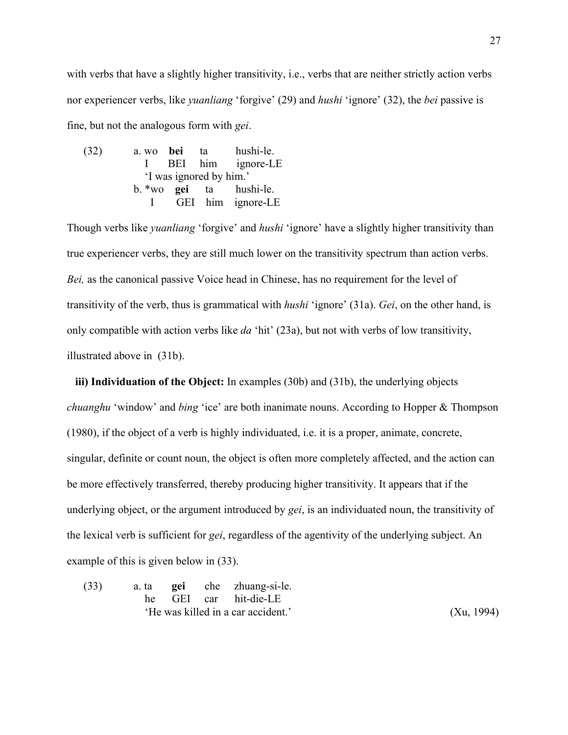with verbs that have a slightly higher transitivity, i.e., verbs that are neither strictly action verbs nor experiencer verbs, like *yuanliang* 'forgive' (29) and *hushi* 'ignore' (32), the *bei* passive is fine, but not the analogous form with *gei*.

(32) a. wo **bei** ta hushi-le. I BEI him ignore-LE 'I was ignored by him.' b. \*wo **gei** ta hushi-le. I GEI him ignore-LE

Though verbs like *yuanliang* 'forgive' and *hushi* 'ignore' have a slightly higher transitivity than true experiencer verbs, they are still much lower on the transitivity spectrum than action verbs. *Bei,* as the canonical passive Voice head in Chinese, has no requirement for the level of transitivity of the verb, thus is grammatical with *hushi* 'ignore' (31a). *Gei*, on the other hand, is only compatible with action verbs like *da* 'hit' (23a), but not with verbs of low transitivity, illustrated above in (31b).

**iii) Individuation of the Object:** In examples (30b) and (31b), the underlying objects *chuanghu* 'window' and *bing* 'ice' are both inanimate nouns. According to Hopper & Thompson (1980), if the object of a verb is highly individuated, i.e. it is a proper, animate, concrete, singular, definite or count noun, the object is often more completely affected, and the action can be more effectively transferred, thereby producing higher transitivity. It appears that if the underlying object, or the argument introduced by *gei*, is an individuated noun, the transitivity of the lexical verb is sufficient for *gei*, regardless of the agentivity of the underlying subject. An example of this is given below in (33).

(33) a. ta **gei** che zhuang-si-le. he GEI car hit-die-LE 'He was killed in a car accident.' (Xu, 1994)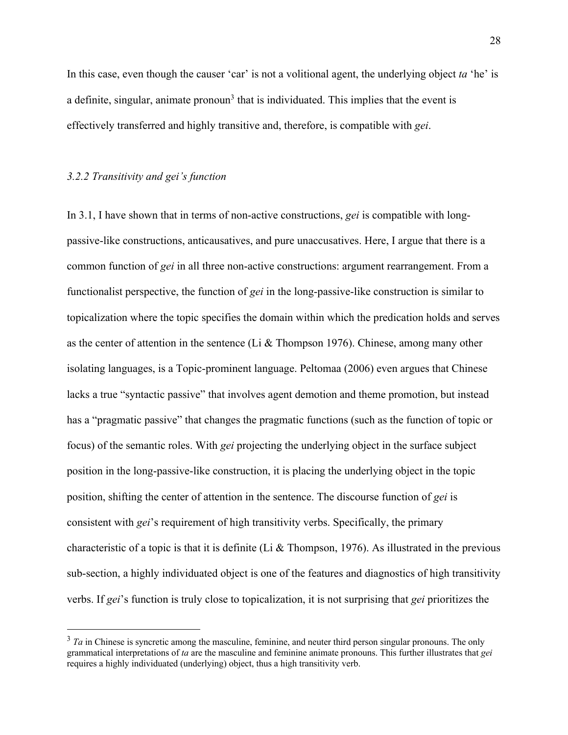In this case, even though the causer 'car' is not a volitional agent, the underlying object *ta* 'he' is a definite, singular, animate pronoun<sup>3</sup> that is individuated. This implies that the event is effectively transferred and highly transitive and, therefore, is compatible with *gei*.

#### *3.2.2 Transitivity and gei's function*

In 3.1, I have shown that in terms of non-active constructions, *gei* is compatible with longpassive-like constructions, anticausatives, and pure unaccusatives. Here, I argue that there is a common function of *gei* in all three non-active constructions: argument rearrangement. From a functionalist perspective, the function of *gei* in the long-passive-like construction is similar to topicalization where the topic specifies the domain within which the predication holds and serves as the center of attention in the sentence (Li  $&$  Thompson 1976). Chinese, among many other isolating languages, is a Topic-prominent language. Peltomaa (2006) even argues that Chinese lacks a true "syntactic passive" that involves agent demotion and theme promotion, but instead has a "pragmatic passive" that changes the pragmatic functions (such as the function of topic or focus) of the semantic roles. With *gei* projecting the underlying object in the surface subject position in the long-passive-like construction, it is placing the underlying object in the topic position, shifting the center of attention in the sentence. The discourse function of *gei* is consistent with *gei*'s requirement of high transitivity verbs. Specifically, the primary characteristic of a topic is that it is definite (Li & Thompson, 1976). As illustrated in the previous sub-section, a highly individuated object is one of the features and diagnostics of high transitivity verbs. If *gei*'s function is truly close to topicalization, it is not surprising that *gei* prioritizes the

<sup>&</sup>lt;sup>3</sup> *Ta* in Chinese is syncretic among the masculine, feminine, and neuter third person singular pronouns. The only grammatical interpretations of *ta* are the masculine and feminine animate pronouns. This further illustrates that *gei* requires a highly individuated (underlying) object, thus a high transitivity verb.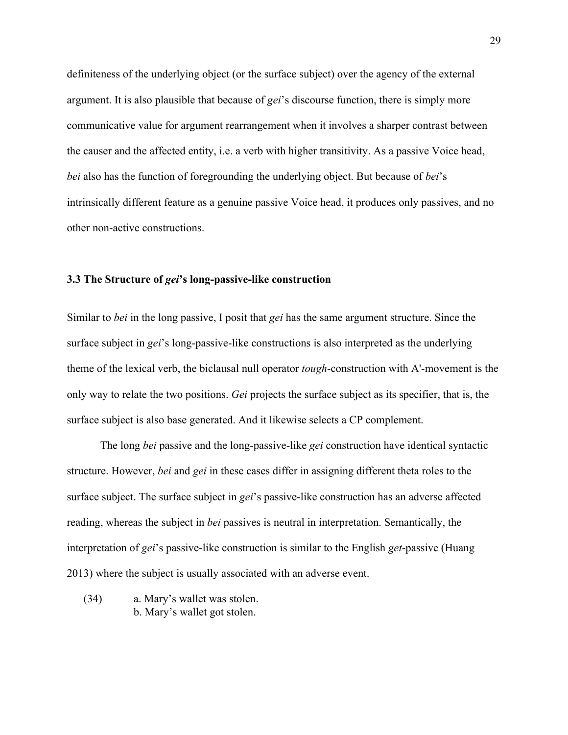definiteness of the underlying object (or the surface subject) over the agency of the external argument. It is also plausible that because of *gei*'s discourse function, there is simply more communicative value for argument rearrangement when it involves a sharper contrast between the causer and the affected entity, i.e. a verb with higher transitivity. As a passive Voice head, *bei* also has the function of foregrounding the underlying object. But because of *bei*'s intrinsically different feature as a genuine passive Voice head, it produces only passives, and no other non-active constructions.

## **3.3 The Structure of** *gei***'s long-passive-like construction**

Similar to *bei* in the long passive, I posit that *gei* has the same argument structure. Since the surface subject in *gei*'s long-passive-like constructions is also interpreted as the underlying theme of the lexical verb, the biclausal null operator *tough*-construction with A'-movement is the only way to relate the two positions. *Gei* projects the surface subject as its specifier, that is, the surface subject is also base generated. And it likewise selects a CP complement.

The long *bei* passive and the long-passive-like *gei* construction have identical syntactic structure. However, *bei* and *gei* in these cases differ in assigning different theta roles to the surface subject. The surface subject in *gei*'s passive-like construction has an adverse affected reading, whereas the subject in *bei* passives is neutral in interpretation. Semantically, the interpretation of *gei*'s passive-like construction is similar to the English *get*-passive (Huang 2013) where the subject is usually associated with an adverse event.

(34) a. Mary's wallet was stolen. b. Mary's wallet got stolen.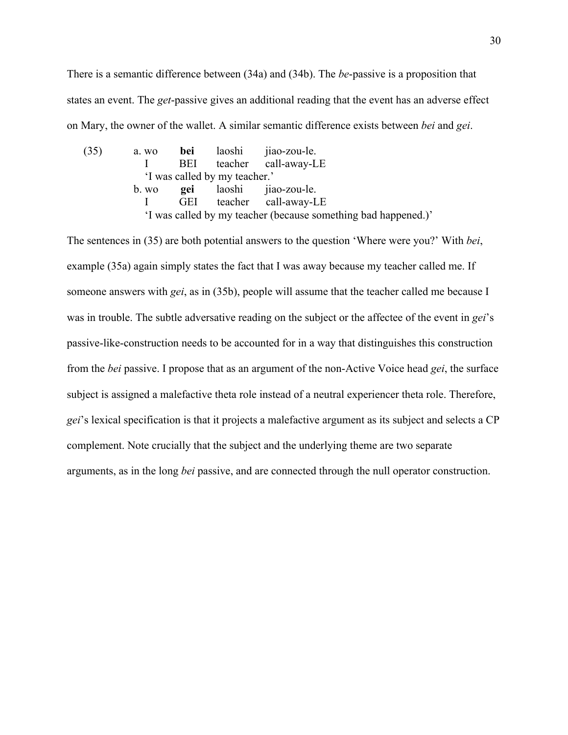There is a semantic difference between (34a) and (34b). The *be*-passive is a proposition that states an event. The *get*-passive gives an additional reading that the event has an adverse effect on Mary, the owner of the wallet. A similar semantic difference exists between *bei* and *gei*.

(35) a. wo **bei** laoshi jiao-zou-le. I BEI teacher call-away-LE 'I was called by my teacher.' b. wo **gei** laoshi jiao-zou-le. I GEI teacher call-away-LE 'I was called by my teacher (because something bad happened.)'

The sentences in (35) are both potential answers to the question 'Where were you?' With *bei*, example (35a) again simply states the fact that I was away because my teacher called me. If someone answers with *gei*, as in (35b), people will assume that the teacher called me because I was in trouble. The subtle adversative reading on the subject or the affectee of the event in *gei*'s passive-like-construction needs to be accounted for in a way that distinguishes this construction from the *bei* passive. I propose that as an argument of the non-Active Voice head *gei*, the surface subject is assigned a malefactive theta role instead of a neutral experiencer theta role. Therefore, *gei*'s lexical specification is that it projects a malefactive argument as its subject and selects a CP complement. Note crucially that the subject and the underlying theme are two separate arguments, as in the long *bei* passive, and are connected through the null operator construction.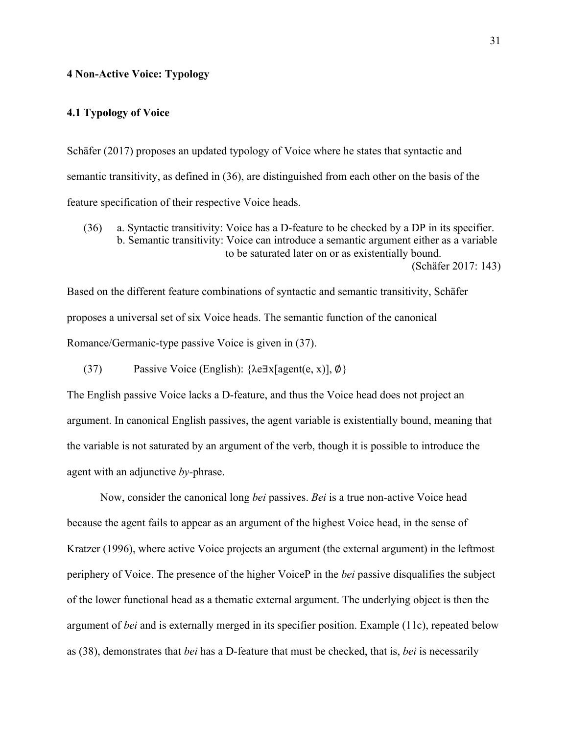## **4 Non-Active Voice: Typology**

## **4.1 Typology of Voice**

Schäfer (2017) proposes an updated typology of Voice where he states that syntactic and semantic transitivity, as defined in (36), are distinguished from each other on the basis of the feature specification of their respective Voice heads.

(36) a. Syntactic transitivity: Voice has a D-feature to be checked by a DP in its specifier. b. Semantic transitivity: Voice can introduce a semantic argument either as a variable to be saturated later on or as existentially bound. (Schäfer 2017: 143)

Based on the different feature combinations of syntactic and semantic transitivity, Schäfer proposes a universal set of six Voice heads. The semantic function of the canonical Romance/Germanic-type passive Voice is given in (37).

(37) Passive Voice (English): {λe∃x[agent(e, x)], ∅}

The English passive Voice lacks a D-feature, and thus the Voice head does not project an argument. In canonical English passives, the agent variable is existentially bound, meaning that the variable is not saturated by an argument of the verb, though it is possible to introduce the agent with an adjunctive *by-*phrase.

Now, consider the canonical long *bei* passives. *Bei* is a true non-active Voice head because the agent fails to appear as an argument of the highest Voice head, in the sense of Kratzer (1996), where active Voice projects an argument (the external argument) in the leftmost periphery of Voice. The presence of the higher VoiceP in the *bei* passive disqualifies the subject of the lower functional head as a thematic external argument. The underlying object is then the argument of *bei* and is externally merged in its specifier position. Example (11c), repeated below as (38), demonstrates that *bei* has a D-feature that must be checked, that is, *bei* is necessarily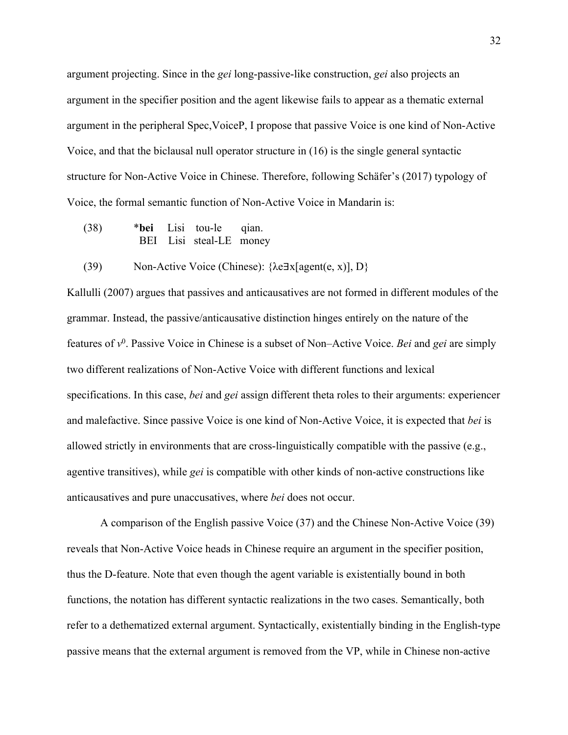argument projecting. Since in the *gei* long-passive-like construction, *gei* also projects an argument in the specifier position and the agent likewise fails to appear as a thematic external argument in the peripheral Spec,VoiceP, I propose that passive Voice is one kind of Non-Active Voice, and that the biclausal null operator structure in (16) is the single general syntactic structure for Non-Active Voice in Chinese. Therefore, following Schäfer's (2017) typology of Voice, the formal semantic function of Non-Active Voice in Mandarin is:

- (38) \***bei** Lisi tou-le qian. BEI Lisi steal-LE money
- (39) Non-Active Voice (Chinese):  $\{\lambda e \exists x [agent(e, x)], D\}$

Kallulli (2007) argues that passives and anticausatives are not formed in different modules of the grammar. Instead, the passive/anticausative distinction hinges entirely on the nature of the features of *v*<sup>0</sup> . Passive Voice in Chinese is a subset of Non–Active Voice. *Bei* and *gei* are simply two different realizations of Non-Active Voice with different functions and lexical specifications. In this case, *bei* and *gei* assign different theta roles to their arguments: experiencer and malefactive. Since passive Voice is one kind of Non-Active Voice, it is expected that *bei* is allowed strictly in environments that are cross-linguistically compatible with the passive (e.g., agentive transitives), while *gei* is compatible with other kinds of non-active constructions like anticausatives and pure unaccusatives, where *bei* does not occur.

A comparison of the English passive Voice (37) and the Chinese Non-Active Voice (39) reveals that Non-Active Voice heads in Chinese require an argument in the specifier position, thus the D-feature. Note that even though the agent variable is existentially bound in both functions, the notation has different syntactic realizations in the two cases. Semantically, both refer to a dethematized external argument. Syntactically, existentially binding in the English-type passive means that the external argument is removed from the VP, while in Chinese non-active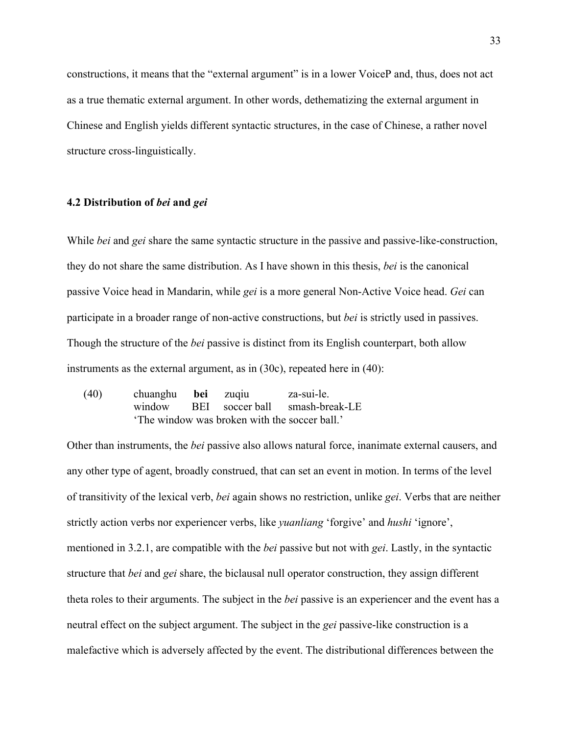constructions, it means that the "external argument" is in a lower VoiceP and, thus, does not act as a true thematic external argument. In other words, dethematizing the external argument in Chinese and English yields different syntactic structures, in the case of Chinese, a rather novel structure cross-linguistically.

## **4.2 Distribution of** *bei* **and** *gei*

While *bei* and *gei* share the same syntactic structure in the passive and passive-like-construction, they do not share the same distribution. As I have shown in this thesis, *bei* is the canonical passive Voice head in Mandarin, while *gei* is a more general Non-Active Voice head. *Gei* can participate in a broader range of non-active constructions, but *bei* is strictly used in passives. Though the structure of the *bei* passive is distinct from its English counterpart, both allow instruments as the external argument, as in (30c), repeated here in (40):

(40) chuanghu **bei** zuqiu za-sui-le. window BEI soccer ball smash-break-LE 'The window was broken with the soccer ball.'

Other than instruments, the *bei* passive also allows natural force, inanimate external causers, and any other type of agent, broadly construed, that can set an event in motion. In terms of the level of transitivity of the lexical verb, *bei* again shows no restriction, unlike *gei*. Verbs that are neither strictly action verbs nor experiencer verbs, like *yuanliang* 'forgive' and *hushi* 'ignore', mentioned in 3.2.1, are compatible with the *bei* passive but not with *gei*. Lastly, in the syntactic structure that *bei* and *gei* share, the biclausal null operator construction, they assign different theta roles to their arguments. The subject in the *bei* passive is an experiencer and the event has a neutral effect on the subject argument. The subject in the *gei* passive-like construction is a malefactive which is adversely affected by the event. The distributional differences between the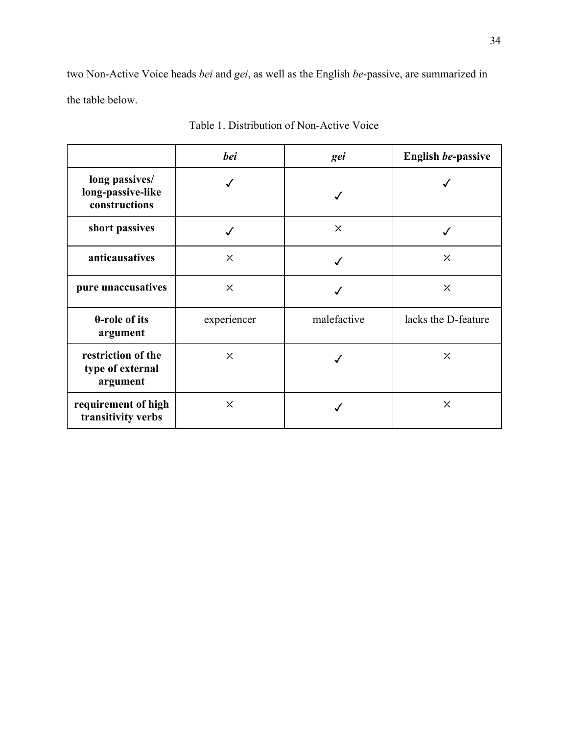two Non-Active Voice heads *bei* and *gei*, as well as the English *be*-passive, are summarized in the table below.

|                                                      | <b>bei</b>  | gei         | English be-passive  |
|------------------------------------------------------|-------------|-------------|---------------------|
| long passives/<br>long-passive-like<br>constructions |             |             |                     |
| short passives                                       |             | $\times$    |                     |
| anticausatives                                       | $\times$    |             | $\times$            |
| pure unaccusatives                                   | $\times$    |             | $\times$            |
| $\theta$ -role of its<br>argument                    | experiencer | malefactive | lacks the D-feature |
| restriction of the<br>type of external<br>argument   | $\times$    |             | $\times$            |
| requirement of high<br>transitivity verbs            | $\times$    |             | $\times$            |

Table 1. Distribution of Non-Active Voice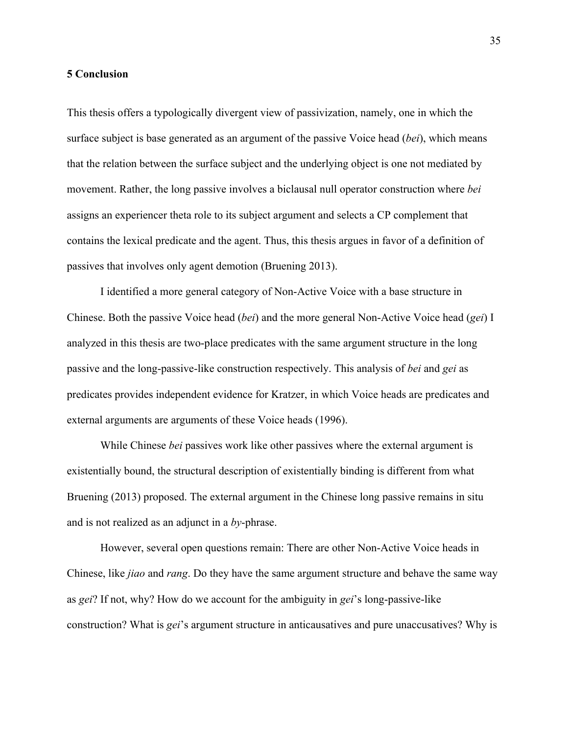## **5 Conclusion**

This thesis offers a typologically divergent view of passivization, namely, one in which the surface subject is base generated as an argument of the passive Voice head (*bei*), which means that the relation between the surface subject and the underlying object is one not mediated by movement. Rather, the long passive involves a biclausal null operator construction where *bei* assigns an experiencer theta role to its subject argument and selects a CP complement that contains the lexical predicate and the agent. Thus, this thesis argues in favor of a definition of passives that involves only agent demotion (Bruening 2013).

I identified a more general category of Non-Active Voice with a base structure in Chinese. Both the passive Voice head (*bei*) and the more general Non-Active Voice head (*gei*) I analyzed in this thesis are two-place predicates with the same argument structure in the long passive and the long-passive-like construction respectively. This analysis of *bei* and *gei* as predicates provides independent evidence for Kratzer, in which Voice heads are predicates and external arguments are arguments of these Voice heads (1996).

While Chinese *bei* passives work like other passives where the external argument is existentially bound, the structural description of existentially binding is different from what Bruening (2013) proposed. The external argument in the Chinese long passive remains in situ and is not realized as an adjunct in a *by*-phrase.

However, several open questions remain: There are other Non-Active Voice heads in Chinese, like *jiao* and *rang*. Do they have the same argument structure and behave the same way as *gei*? If not, why? How do we account for the ambiguity in *gei*'s long-passive-like construction? What is *gei*'s argument structure in anticausatives and pure unaccusatives? Why is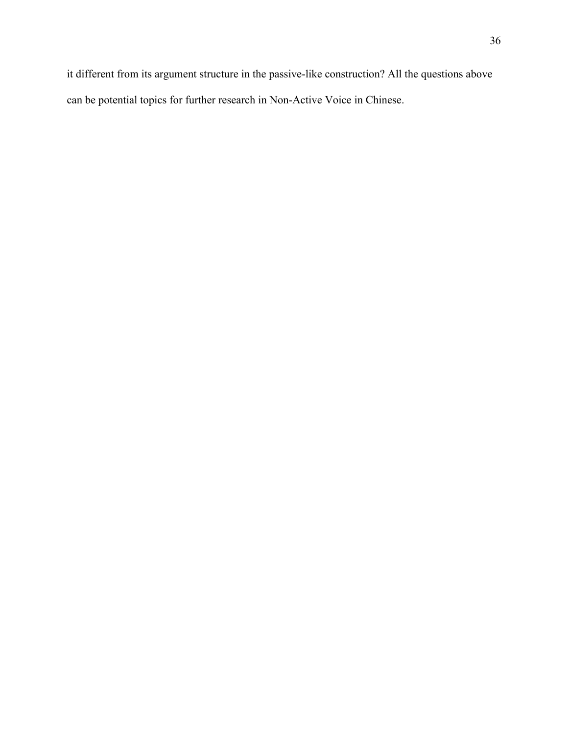it different from its argument structure in the passive-like construction? All the questions above can be potential topics for further research in Non-Active Voice in Chinese.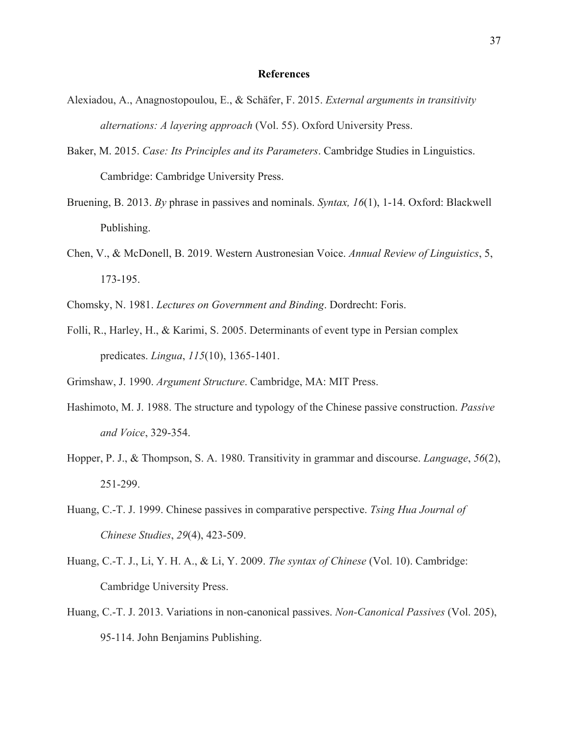## **References**

- Alexiadou, A., Anagnostopoulou, E., & Schäfer, F. 2015. *External arguments in transitivity alternations: A layering approach* (Vol. 55). Oxford University Press.
- Baker, M. 2015. *Case: Its Principles and its Parameters*. Cambridge Studies in Linguistics. Cambridge: Cambridge University Press.
- Bruening, B. 2013. *By* phrase in passives and nominals. *Syntax, 16*(1), 1-14. Oxford: Blackwell Publishing.
- Chen, V., & McDonell, B. 2019. Western Austronesian Voice. *Annual Review of Linguistics*, 5, 173-195.
- Chomsky, N. 1981. *Lectures on Government and Binding*. Dordrecht: Foris.
- Folli, R., Harley, H., & Karimi, S. 2005. Determinants of event type in Persian complex predicates. *Lingua*, *115*(10), 1365-1401.

Grimshaw, J. 1990. *Argument Structure*. Cambridge, MA: MIT Press.

- Hashimoto, M. J. 1988. The structure and typology of the Chinese passive construction. *Passive and Voice*, 329-354.
- Hopper, P. J., & Thompson, S. A. 1980. Transitivity in grammar and discourse. *Language*, *56*(2), 251-299.
- Huang, C.-T. J. 1999. Chinese passives in comparative perspective. *Tsing Hua Journal of Chinese Studies*, *29*(4), 423-509.
- Huang, C.-T. J., Li, Y. H. A., & Li, Y. 2009. *The syntax of Chinese* (Vol. 10). Cambridge: Cambridge University Press.
- Huang, C.-T. J. 2013. Variations in non-canonical passives. *Non-Canonical Passives* (Vol. 205), 95-114. John Benjamins Publishing.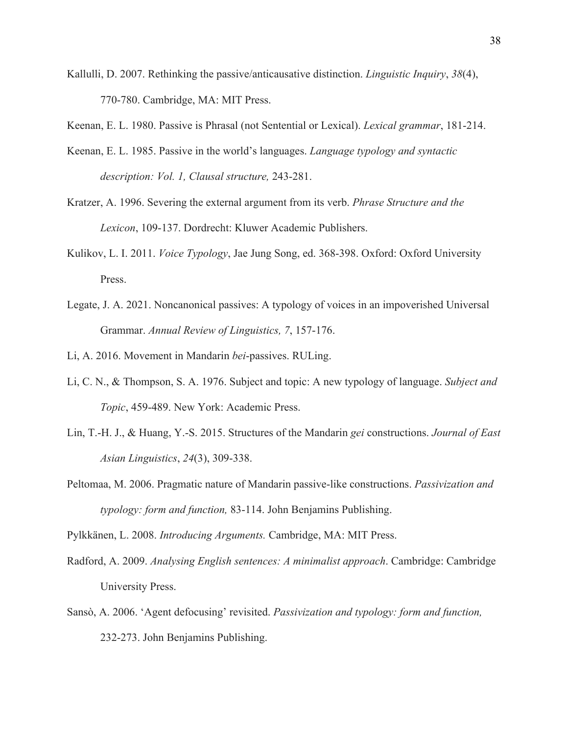- Kallulli, D. 2007. Rethinking the passive/anticausative distinction. *Linguistic Inquiry*, *38*(4), 770-780. Cambridge, MA: MIT Press.
- Keenan, E. L. 1980. Passive is Phrasal (not Sentential or Lexical). *Lexical grammar*, 181-214.
- Keenan, E. L. 1985. Passive in the world's languages. *Language typology and syntactic description: Vol. 1, Clausal structure,* 243-281.
- Kratzer, A. 1996. Severing the external argument from its verb. *Phrase Structure and the Lexicon*, 109-137. Dordrecht: Kluwer Academic Publishers.
- Kulikov, L. I. 2011. *Voice Typology*, Jae Jung Song, ed. 368-398. Oxford: Oxford University Press.
- Legate, J. A. 2021. Noncanonical passives: A typology of voices in an impoverished Universal Grammar. *Annual Review of Linguistics, 7*, 157-176.
- Li, A. 2016. Movement in Mandarin *bei*-passives. RULing.
- Li, C. N., & Thompson, S. A. 1976. Subject and topic: A new typology of language. *Subject and Topic*, 459-489. New York: Academic Press.
- Lin, T.-H. J., & Huang, Y.-S. 2015. Structures of the Mandarin *gei* constructions. *Journal of East Asian Linguistics*, *24*(3), 309-338.
- Peltomaa, M. 2006. Pragmatic nature of Mandarin passive-like constructions. *Passivization and typology: form and function,* 83-114. John Benjamins Publishing.

Pylkkänen, L. 2008. *Introducing Arguments.* Cambridge, MA: MIT Press.

- Radford, A. 2009. *Analysing English sentences: A minimalist approach*. Cambridge: Cambridge University Press.
- Sansò, A. 2006. 'Agent defocusing' revisited. *Passivization and typology: form and function,* 232-273. John Benjamins Publishing.